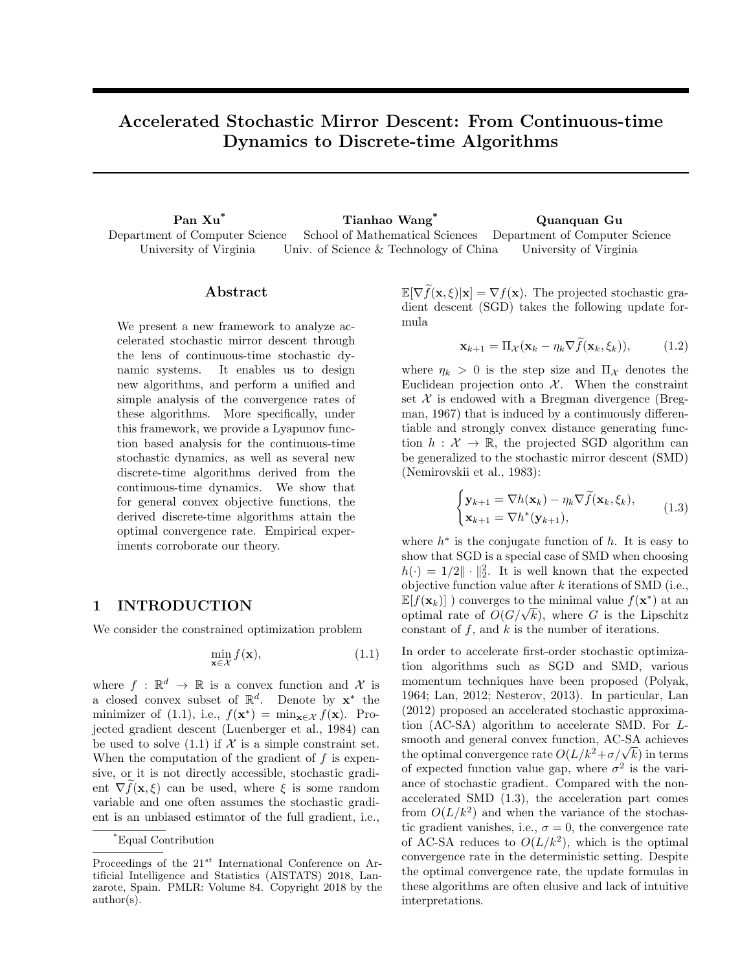# Accelerated Stochastic Mirror Descent: From Continuous-time Dynamics to Discrete-time Algorithms

Pan Xu\* Tianhao Wang\* Quanquan Gu Department of Computer Science University of Virginia School of Mathematical Sciences Univ. of Science & Technology of China Department of Computer Science University of Virginia

### Abstract

We present a new framework to analyze accelerated stochastic mirror descent through the lens of continuous-time stochastic dynamic systems. It enables us to design new algorithms, and perform a unified and simple analysis of the convergence rates of these algorithms. More specifically, under this framework, we provide a Lyapunov function based analysis for the continuous-time stochastic dynamics, as well as several new discrete-time algorithms derived from the continuous-time dynamics. We show that for general convex objective functions, the derived discrete-time algorithms attain the optimal convergence rate. Empirical experiments corroborate our theory.

# 1 INTRODUCTION

We consider the constrained optimization problem

$$
\min_{\mathbf{x} \in \mathcal{X}} f(\mathbf{x}),\tag{1.1}
$$

where  $f : \mathbb{R}^d \to \mathbb{R}$  is a convex function and X is a closed convex subset of  $\mathbb{R}^d$ . Denote by  $\mathbf{x}^*$  the minimizer of (1.1), i.e.,  $f(\mathbf{x}^*) = \min_{\mathbf{x} \in \mathcal{X}} f(\mathbf{x})$ . Projected gradient descent (Luenberger et al., 1984) can be used to solve  $(1.1)$  if X is a simple constraint set. When the computation of the gradient of  $f$  is expensive, or it is not directly accessible, stochastic gradient  $\nabla f(\mathbf{x}, \xi)$  can be used, where  $\xi$  is some random variable and one often assumes the stochastic gradient is an unbiased estimator of the full gradient, i.e.,

 $\mathbb{E}[\nabla \tilde{f}(\mathbf{x}, \xi)|\mathbf{x}] = \nabla f(\mathbf{x})$ . The projected stochastic gradient descent (SGD) takes the following update formula

$$
\mathbf{x}_{k+1} = \Pi_{\mathcal{X}}(\mathbf{x}_k - \eta_k \nabla f(\mathbf{x}_k, \xi_k)), \quad (1.2)
$$

where  $\eta_k > 0$  is the step size and  $\Pi_{\mathcal{X}}$  denotes the Euclidean projection onto  $\mathcal{X}$ . When the constraint set  $X$  is endowed with a Bregman divergence (Bregman, 1967) that is induced by a continuously differentiable and strongly convex distance generating function  $h : \mathcal{X} \to \mathbb{R}$ , the projected SGD algorithm can be generalized to the stochastic mirror descent (SMD) (Nemirovskii et al., 1983):

$$
\begin{cases} \mathbf{y}_{k+1} = \nabla h(\mathbf{x}_k) - \eta_k \nabla \tilde{f}(\mathbf{x}_k, \xi_k), \\ \mathbf{x}_{k+1} = \nabla h^*(\mathbf{y}_{k+1}), \end{cases}
$$
(1.3)

where  $h^*$  is the conjugate function of  $h$ . It is easy to show that SGD is a special case of SMD when choosing  $h(\cdot) = 1/2 \|\cdot\|_2^2$ . It is well known that the expected objective function value after  $k$  iterations of SMD (i.e.,  $\mathbb{E}[f(\mathbf{x}_k)]$ ) converges to the minimal value  $f(\mathbf{x}^*)$  at an  $\mathbb{E}[J(\mathbf{x}_k)]$  ) converges to the minimal value  $J(\mathbf{x}^*)$  at an optimal rate of  $O(G/\sqrt{k})$ , where G is the Lipschitz constant of  $f$ , and  $k$  is the number of iterations.

In order to accelerate first-order stochastic optimization algorithms such as SGD and SMD, various momentum techniques have been proposed (Polyak, 1964; Lan, 2012; Nesterov, 2013). In particular, Lan (2012) proposed an accelerated stochastic approximation (AC-SA) algorithm to accelerate SMD. For Lsmooth and general convex function, AC-SA achieves smooth and general convex function, AC-SA achieves<br>the optimal convergence rate  $O(L/k^2 + \sigma/\sqrt{k})$  in terms of expected function value gap, where  $\sigma^2$  is the variance of stochastic gradient. Compared with the nonaccelerated SMD (1.3), the acceleration part comes from  $O(L/k^2)$  and when the variance of the stochastic gradient vanishes, i.e.,  $\sigma = 0$ , the convergence rate of AC-SA reduces to  $O(L/k^2)$ , which is the optimal convergence rate in the deterministic setting. Despite the optimal convergence rate, the update formulas in these algorithms are often elusive and lack of intuitive interpretations.

<sup>\*</sup>Equal Contribution

Proceedings of the  $21^{st}$  International Conference on Artificial Intelligence and Statistics (AISTATS) 2018, Lanzarote, Spain. PMLR: Volume 84. Copyright 2018 by the author(s).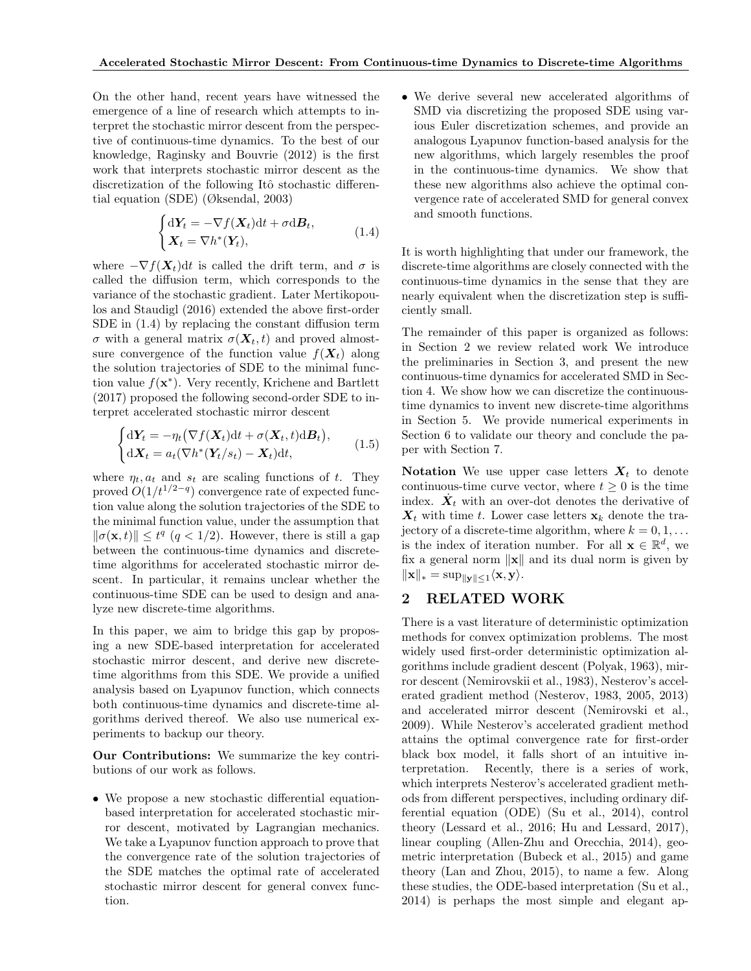On the other hand, recent years have witnessed the emergence of a line of research which attempts to interpret the stochastic mirror descent from the perspective of continuous-time dynamics. To the best of our knowledge, Raginsky and Bouvrie (2012) is the first work that interprets stochastic mirror descent as the discretization of the following Itô stochastic differential equation (SDE) (Øksendal, 2003)

$$
\begin{cases} d\mathbf{Y}_t = -\nabla f(\mathbf{X}_t)dt + \sigma \mathrm{d}\mathbf{B}_t, \\ \mathbf{X}_t = \nabla h^*(\mathbf{Y}_t), \end{cases} \tag{1.4}
$$

where  $-\nabla f(\mathbf{X}_t)dt$  is called the drift term, and  $\sigma$  is called the diffusion term, which corresponds to the variance of the stochastic gradient. Later Mertikopoulos and Staudigl (2016) extended the above first-order SDE in (1.4) by replacing the constant diffusion term σ with a general matrix  $\sigma(\mathbf{X}_t, t)$  and proved almostsure convergence of the function value  $f(\mathbf{X}_t)$  along the solution trajectories of SDE to the minimal function value  $f(\mathbf{x}^*)$ . Very recently, Krichene and Bartlett (2017) proposed the following second-order SDE to interpret accelerated stochastic mirror descent

$$
\begin{cases} d\mathbf{Y}_t = -\eta_t \big(\nabla f(\mathbf{X}_t) dt + \sigma(\mathbf{X}_t, t) dB_t\big), \\ d\mathbf{X}_t = a_t \big(\nabla h^*(\mathbf{Y}_t/s_t) - \mathbf{X}_t\big) dt, \end{cases}
$$
(1.5)

where  $\eta_t, a_t$  and  $s_t$  are scaling functions of t. They proved  $O(1/t^{1/2-q})$  convergence rate of expected function value along the solution trajectories of the SDE to the minimal function value, under the assumption that  $\|\sigma(\mathbf{x}, t)\| \leq t^q \ (q < 1/2)$ . However, there is still a gap between the continuous-time dynamics and discretetime algorithms for accelerated stochastic mirror descent. In particular, it remains unclear whether the continuous-time SDE can be used to design and analyze new discrete-time algorithms.

In this paper, we aim to bridge this gap by proposing a new SDE-based interpretation for accelerated stochastic mirror descent, and derive new discretetime algorithms from this SDE. We provide a unified analysis based on Lyapunov function, which connects both continuous-time dynamics and discrete-time algorithms derived thereof. We also use numerical experiments to backup our theory.

Our Contributions: We summarize the key contributions of our work as follows.

• We propose a new stochastic differential equationbased interpretation for accelerated stochastic mirror descent, motivated by Lagrangian mechanics. We take a Lyapunov function approach to prove that the convergence rate of the solution trajectories of the SDE matches the optimal rate of accelerated stochastic mirror descent for general convex function.

• We derive several new accelerated algorithms of SMD via discretizing the proposed SDE using various Euler discretization schemes, and provide an analogous Lyapunov function-based analysis for the new algorithms, which largely resembles the proof in the continuous-time dynamics. We show that these new algorithms also achieve the optimal convergence rate of accelerated SMD for general convex and smooth functions.

It is worth highlighting that under our framework, the discrete-time algorithms are closely connected with the continuous-time dynamics in the sense that they are nearly equivalent when the discretization step is sufficiently small.

The remainder of this paper is organized as follows: in Section 2 we review related work We introduce the preliminaries in Section 3, and present the new continuous-time dynamics for accelerated SMD in Section 4. We show how we can discretize the continuoustime dynamics to invent new discrete-time algorithms in Section 5. We provide numerical experiments in Section 6 to validate our theory and conclude the paper with Section 7.

Notation We use upper case letters  $X_t$  to denote continuous-time curve vector, where  $t \geq 0$  is the time index.  $\dot{X}_t$  with an over-dot denotes the derivative of  $X_t$  with time t. Lower case letters  $x_k$  denote the trajectory of a discrete-time algorithm, where  $k = 0, 1, \ldots$ is the index of iteration number. For all  $\mathbf{x} \in \mathbb{R}^d$ , we fix a general norm  $\|\mathbf{x}\|$  and its dual norm is given by  $\|\mathbf{x}\|_{*} = \sup_{\|\mathbf{y}\| \leq 1} \langle \mathbf{x}, \mathbf{y} \rangle.$ 

## 2 RELATED WORK

There is a vast literature of deterministic optimization methods for convex optimization problems. The most widely used first-order deterministic optimization algorithms include gradient descent (Polyak, 1963), mirror descent (Nemirovskii et al., 1983), Nesterov's accelerated gradient method (Nesterov, 1983, 2005, 2013) and accelerated mirror descent (Nemirovski et al., 2009). While Nesterov's accelerated gradient method attains the optimal convergence rate for first-order black box model, it falls short of an intuitive interpretation. Recently, there is a series of work, which interprets Nesterov's accelerated gradient methods from different perspectives, including ordinary differential equation (ODE) (Su et al., 2014), control theory (Lessard et al., 2016; Hu and Lessard, 2017), linear coupling (Allen-Zhu and Orecchia, 2014), geometric interpretation (Bubeck et al., 2015) and game theory (Lan and Zhou, 2015), to name a few. Along these studies, the ODE-based interpretation (Su et al., 2014) is perhaps the most simple and elegant ap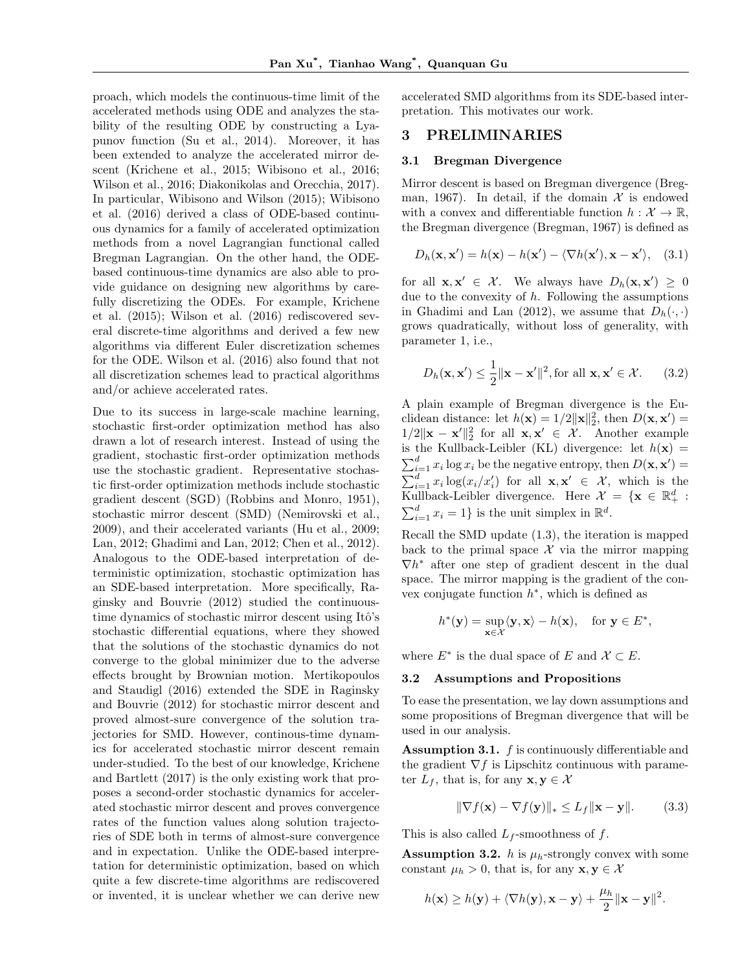proach, which models the continuous-time limit of the accelerated methods using ODE and analyzes the stability of the resulting ODE by constructing a Lyapunov function (Su et al., 2014). Moreover, it has been extended to analyze the accelerated mirror descent (Krichene et al., 2015; Wibisono et al., 2016; Wilson et al., 2016; Diakonikolas and Orecchia, 2017). In particular, Wibisono and Wilson (2015); Wibisono et al. (2016) derived a class of ODE-based continuous dynamics for a family of accelerated optimization methods from a novel Lagrangian functional called Bregman Lagrangian. On the other hand, the ODEbased continuous-time dynamics are also able to provide guidance on designing new algorithms by carefully discretizing the ODEs. For example, Krichene et al. (2015); Wilson et al. (2016) rediscovered several discrete-time algorithms and derived a few new algorithms via different Euler discretization schemes for the ODE. Wilson et al. (2016) also found that not all discretization schemes lead to practical algorithms and/or achieve accelerated rates.

Due to its success in large-scale machine learning, stochastic first-order optimization method has also drawn a lot of research interest. Instead of using the gradient, stochastic first-order optimization methods use the stochastic gradient. Representative stochastic first-order optimization methods include stochastic gradient descent (SGD) (Robbins and Monro, 1951), stochastic mirror descent (SMD) (Nemirovski et al., 2009), and their accelerated variants (Hu et al., 2009; Lan, 2012; Ghadimi and Lan, 2012; Chen et al., 2012). Analogous to the ODE-based interpretation of deterministic optimization, stochastic optimization has an SDE-based interpretation. More specifically, Raginsky and Bouvrie (2012) studied the continuoustime dynamics of stochastic mirror descent using Itô's stochastic differential equations, where they showed that the solutions of the stochastic dynamics do not converge to the global minimizer due to the adverse effects brought by Brownian motion. Mertikopoulos and Staudigl (2016) extended the SDE in Raginsky and Bouvrie (2012) for stochastic mirror descent and proved almost-sure convergence of the solution trajectories for SMD. However, continous-time dynamics for accelerated stochastic mirror descent remain under-studied. To the best of our knowledge, Krichene and Bartlett (2017) is the only existing work that proposes a second-order stochastic dynamics for accelerated stochastic mirror descent and proves convergence rates of the function values along solution trajectories of SDE both in terms of almost-sure convergence and in expectation. Unlike the ODE-based interpretation for deterministic optimization, based on which quite a few discrete-time algorithms are rediscovered or invented, it is unclear whether we can derive new

accelerated SMD algorithms from its SDE-based interpretation. This motivates our work.

## 3 PRELIMINARIES

#### 3.1 Bregman Divergence

Mirror descent is based on Bregman divergence (Bregman, 1967). In detail, if the domain  $\mathcal X$  is endowed with a convex and differentiable function  $h: \mathcal{X} \to \mathbb{R}$ , the Bregman divergence (Bregman, 1967) is defined as

$$
D_h(\mathbf{x}, \mathbf{x}') = h(\mathbf{x}) - h(\mathbf{x}') - \langle \nabla h(\mathbf{x}'), \mathbf{x} - \mathbf{x}' \rangle, \quad (3.1)
$$

for all  $\mathbf{x}, \mathbf{x}' \in \mathcal{X}$ . We always have  $D_h(\mathbf{x}, \mathbf{x}') \geq 0$ due to the convexity of  $h$ . Following the assumptions in Ghadimi and Lan (2012), we assume that  $D_h(\cdot, \cdot)$ grows quadratically, without loss of generality, with parameter 1, i.e.,

$$
D_h(\mathbf{x}, \mathbf{x}') \le \frac{1}{2} \|\mathbf{x} - \mathbf{x}'\|^2, \text{for all } \mathbf{x}, \mathbf{x}' \in \mathcal{X}.
$$
 (3.2)

A plain example of Bregman divergence is the Euclidean distance: let  $h(\mathbf{x}) = 1/2 ||\mathbf{x}||_2^2$ , then  $D(\mathbf{x}, \mathbf{x}') =$  $1/2\|\mathbf{x} - \mathbf{x}'\|_2^2$  for all  $\mathbf{x}, \mathbf{x}' \in \mathcal{X}$ . Another example is the Kullback-Leibler (KL) divergence: let  $h(\mathbf{x}) =$  $\sum_{i=1}^{d} x_i \log x_i$  be the negative entropy, then  $D(\mathbf{x}, \mathbf{x}') =$  $\sum_{i=1}^d x_i \log(x_i/x'_i)$  for all  $\mathbf{x}, \mathbf{x}' \in \mathcal{X}$ , which is the Kullback-Leibler divergence. Here  $\mathcal{X} = {\mathbf{x} \in \mathbb{R}^d_+ :$  $\sum_{i=1}^{d} x_i = 1$  is the unit simplex in  $\mathbb{R}^d$ .

Recall the SMD update (1.3), the iteration is mapped back to the primal space  $\mathcal X$  via the mirror mapping  $\nabla h^*$  after one step of gradient descent in the dual space. The mirror mapping is the gradient of the convex conjugate function  $h^*$ , which is defined as

$$
h^*(\mathbf{y}) = \sup_{\mathbf{x} \in \mathcal{X}} \langle \mathbf{y}, \mathbf{x} \rangle - h(\mathbf{x}), \quad \text{for } \mathbf{y} \in E^*,
$$

where  $E^*$  is the dual space of E and  $\mathcal{X} \subset E$ .

#### 3.2 Assumptions and Propositions

To ease the presentation, we lay down assumptions and some propositions of Bregman divergence that will be used in our analysis.

Assumption 3.1. f is continuously differentiable and the gradient  $\nabla f$  is Lipschitz continuous with parameter  $L_f$ , that is, for any  $\mathbf{x}, \mathbf{y} \in \mathcal{X}$ 

$$
\|\nabla f(\mathbf{x}) - \nabla f(\mathbf{y})\|_{*} \le L_f \|\mathbf{x} - \mathbf{y}\|.
$$
 (3.3)

This is also called  $L_f$ -smoothness of f.

**Assumption 3.2.** h is  $\mu_h$ -strongly convex with some constant  $\mu_h > 0$ , that is, for any  $\mathbf{x}, \mathbf{y} \in \mathcal{X}$ 

$$
h(\mathbf{x}) \ge h(\mathbf{y}) + \langle \nabla h(\mathbf{y}), \mathbf{x} - \mathbf{y} \rangle + \frac{\mu_h}{2} ||\mathbf{x} - \mathbf{y}||^2.
$$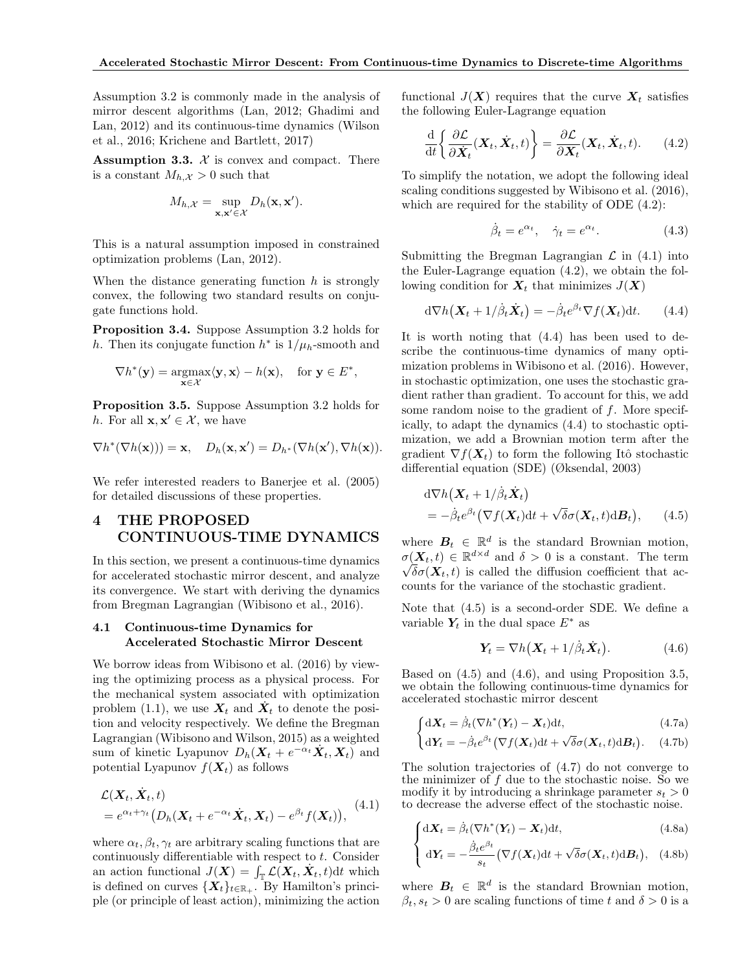Assumption 3.2 is commonly made in the analysis of mirror descent algorithms (Lan, 2012; Ghadimi and Lan, 2012) and its continuous-time dynamics (Wilson et al., 2016; Krichene and Bartlett, 2017)

**Assumption 3.3.**  $\mathcal{X}$  is convex and compact. There is a constant  $M_{h,\mathcal{X}} > 0$  such that

$$
M_{h,\mathcal{X}} = \sup_{\mathbf{x},\mathbf{x}' \in \mathcal{X}} D_h(\mathbf{x},\mathbf{x}').
$$

This is a natural assumption imposed in constrained optimization problems (Lan, 2012).

When the distance generating function  $h$  is strongly convex, the following two standard results on conjugate functions hold.

Proposition 3.4. Suppose Assumption 3.2 holds for h. Then its conjugate function  $h^*$  is  $1/\mu_h$ -smooth and

$$
\nabla h^*(\mathbf{y}) = \underset{\mathbf{x} \in \mathcal{X}}{\operatorname{argmax}} \langle \mathbf{y}, \mathbf{x} \rangle - h(\mathbf{x}), \quad \text{for } \mathbf{y} \in E^*,
$$

Proposition 3.5. Suppose Assumption 3.2 holds for h. For all  $\mathbf{x}, \mathbf{x}' \in \mathcal{X}$ , we have

$$
\nabla h^*(\nabla h(\mathbf{x}))) = \mathbf{x}, \quad D_h(\mathbf{x}, \mathbf{x}') = D_{h^*}(\nabla h(\mathbf{x}'), \nabla h(\mathbf{x})).
$$

We refer interested readers to Banerjee et al. (2005) for detailed discussions of these properties.

# 4 THE PROPOSED CONTINUOUS-TIME DYNAMICS

In this section, we present a continuous-time dynamics for accelerated stochastic mirror descent, and analyze its convergence. We start with deriving the dynamics from Bregman Lagrangian (Wibisono et al., 2016).

#### 4.1 Continuous-time Dynamics for Accelerated Stochastic Mirror Descent

We borrow ideas from Wibisono et al. (2016) by viewing the optimizing process as a physical process. For the mechanical system associated with optimization problem (1.1), we use  $X_t$  and  $\dot{X}_t$  to denote the position and velocity respectively. We define the Bregman Lagrangian (Wibisono and Wilson, 2015) as a weighted sum of kinetic Lyapunov  $D_h(X_t + e^{-\alpha_t}\dot{X}_t, X_t)$  and potential Lyapunov  $f(\boldsymbol{X}_t)$  as follows

$$
\mathcal{L}(\mathbf{X}_t, \dot{\mathbf{X}}_t, t) = e^{\alpha_t + \gamma_t} \big( D_h(\mathbf{X}_t + e^{-\alpha_t} \dot{\mathbf{X}}_t, \mathbf{X}_t) - e^{\beta_t} f(\mathbf{X}_t) \big), \tag{4.1}
$$

where  $\alpha_t, \beta_t, \gamma_t$  are arbitrary scaling functions that are continuously differentiable with respect to  $t$ . Consider an action functional  $J(\boldsymbol{X}) = \int_{\mathbb{T}} \mathcal{L}(\boldsymbol{X}_t, \dot{\boldsymbol{X}}_t, t) dt$  which is defined on curves  $\{X_t\}_{t\in\mathbb{R}_+}$ . By Hamilton's principle (or principle of least action), minimizing the action

functional  $J(X)$  requires that the curve  $X_t$  satisfies the following Euler-Lagrange equation

$$
\frac{\mathrm{d}}{\mathrm{d}t} \left\{ \frac{\partial \mathcal{L}}{\partial \dot{\mathbf{X}}_t} (\mathbf{X}_t, \dot{\mathbf{X}}_t, t) \right\} = \frac{\partial \mathcal{L}}{\partial \mathbf{X}_t} (\mathbf{X}_t, \dot{\mathbf{X}}_t, t). \tag{4.2}
$$

To simplify the notation, we adopt the following ideal scaling conditions suggested by Wibisono et al. (2016), which are required for the stability of ODE (4.2):

$$
\dot{\beta}_t = e^{\alpha_t}, \quad \dot{\gamma}_t = e^{\alpha_t}.
$$
 (4.3)

Submitting the Bregman Lagrangian  $\mathcal L$  in (4.1) into the Euler-Lagrange equation (4.2), we obtain the following condition for  $X_t$  that minimizes  $J(X)$ 

$$
d\nabla h(\mathbf{X}_t + 1/\dot{\beta}_t \dot{\mathbf{X}}_t) = -\dot{\beta}_t e^{\beta_t} \nabla f(\mathbf{X}_t) dt.
$$
 (4.4)

It is worth noting that (4.4) has been used to describe the continuous-time dynamics of many optimization problems in Wibisono et al. (2016). However, in stochastic optimization, one uses the stochastic gradient rather than gradient. To account for this, we add some random noise to the gradient of  $f$ . More specifically, to adapt the dynamics (4.4) to stochastic optimization, we add a Brownian motion term after the gradient  $\nabla f(\mathbf{X}_t)$  to form the following Itô stochastic differential equation (SDE) (Øksendal, 2003)

$$
d\nabla h(\mathbf{X}_t + 1/\dot{\beta}_t \dot{\mathbf{X}}_t) = -\dot{\beta}_t e^{\beta_t} (\nabla f(\mathbf{X}_t) dt + \sqrt{\delta} \sigma(\mathbf{X}_t, t) dB_t), \qquad (4.5)
$$

where  $B_t \in \mathbb{R}^d$  is the standard Brownian motion,  $\sigma(\mathbf{X}_t, t) \in \mathbb{R}^{d \times d}$  and  $\delta > 0$  is a constant. The term  $\sqrt{\delta}\sigma(\textbf{X}_t, t)$  is called the diffusion coefficient that accounts for the variance of the stochastic gradient.

Note that (4.5) is a second-order SDE. We define a variable  $Y_t$  in the dual space  $E^*$  as

$$
\boldsymbol{Y}_t = \nabla h(\boldsymbol{X}_t + 1/\dot{\beta}_t \dot{\boldsymbol{X}}_t). \tag{4.6}
$$

Based on (4.5) and (4.6), and using Proposition 3.5, we obtain the following continuous-time dynamics for accelerated stochastic mirror descent

$$
\int dX_t = \dot{\beta}_t (\nabla h^*(Y_t) - X_t) dt, \qquad (4.7a)
$$

$$
\begin{cases} d\mathbf{Y}_t = -\dot{\beta}_t e^{\beta t} \left( \nabla f(\mathbf{X}_t) dt + \sqrt{\delta} \sigma(\mathbf{X}_t, t) dB_t \right). \end{cases} (4.7b)
$$

The solution trajectories of (4.7) do not converge to the minimizer of f due to the stochastic noise. So we modify it by introducing a shrinkage parameter  $s_t > 0$ to decrease the adverse effect of the stochastic noise.

$$
\int dX_t = \dot{\beta}_t (\nabla h^*(Y_t) - X_t) dt, \qquad (4.8a)
$$

$$
\left\{ d\mathbf{Y}_t = -\frac{\dot{\beta}_t e^{\beta_t}}{s_t} \left( \nabla f(\mathbf{X}_t) dt + \sqrt{\delta} \sigma(\mathbf{X}_t, t) dB_t \right), \quad (4.8b)
$$

where  $B_t \in \mathbb{R}^d$  is the standard Brownian motion,  $\beta_t$ ,  $s_t > 0$  are scaling functions of time t and  $\delta > 0$  is a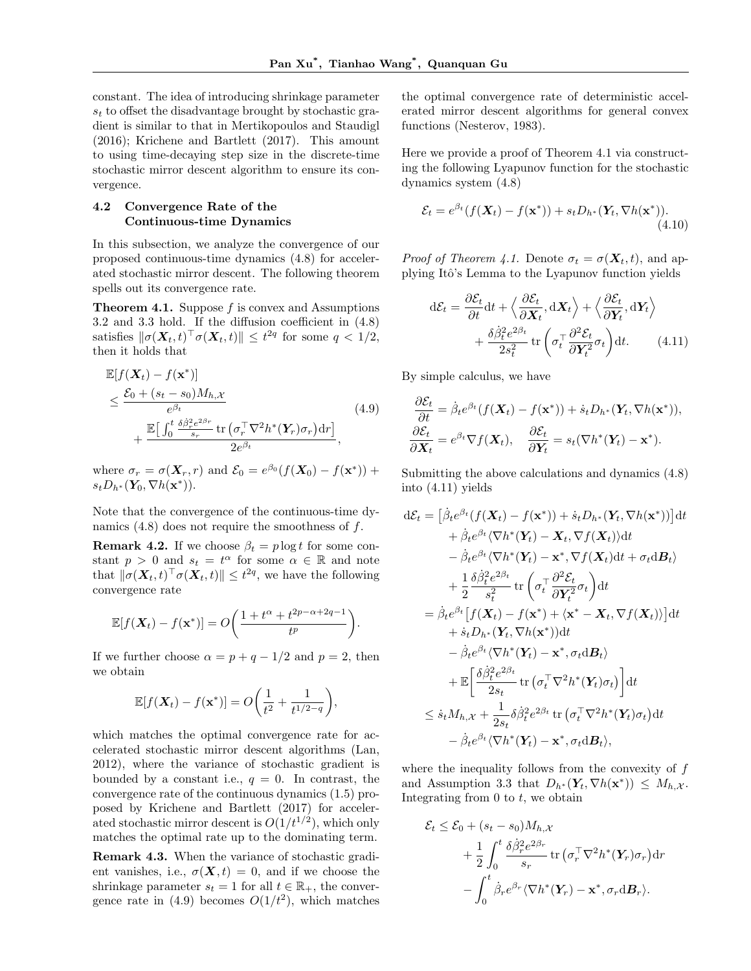constant. The idea of introducing shrinkage parameter  $s_t$  to offset the disadvantage brought by stochastic gradient is similar to that in Mertikopoulos and Staudigl (2016); Krichene and Bartlett (2017). This amount to using time-decaying step size in the discrete-time stochastic mirror descent algorithm to ensure its convergence.

#### 4.2 Convergence Rate of the Continuous-time Dynamics

In this subsection, we analyze the convergence of our proposed continuous-time dynamics (4.8) for accelerated stochastic mirror descent. The following theorem spells out its convergence rate.

**Theorem 4.1.** Suppose  $f$  is convex and Assumptions 3.2 and 3.3 hold. If the diffusion coefficient in (4.8) satisfies  $\|\sigma(\boldsymbol{X}_t, t)^{\top} \sigma(\boldsymbol{X}_t, t)\| \leq t^{2q}$  for some  $q < 1/2$ , then it holds that

$$
\mathbb{E}[f(\mathbf{X}_t) - f(\mathbf{x}^*)]
$$
\n
$$
\leq \frac{\mathcal{E}_0 + (s_t - s_0)M_{h,\mathcal{X}}}{e^{\beta_t}}\n+ \frac{\mathbb{E}\big[\int_0^t \frac{\delta \dot{\beta}_r^2 e^{2\beta_r}}{s_r} \text{tr}\left(\sigma_r^\top \nabla^2 h^*(\mathbf{Y}_r)\sigma_r\right) dr\big]}{2e^{\beta_t}},
$$
\n(4.9)

where  $\sigma_r = \sigma(\mathbf{X}_r, r)$  and  $\mathcal{E}_0 = e^{\beta_0} (f(\mathbf{X}_0) - f(\mathbf{x}^*))$  +  $s_t D_{h^*}(\mathbf{Y}_0, \nabla h(\mathbf{x}^*))$ .

Note that the convergence of the continuous-time dynamics  $(4.8)$  does not require the smoothness of f.

**Remark 4.2.** If we choose  $\beta_t = p \log t$  for some constant  $p > 0$  and  $s_t = t^{\alpha}$  for some  $\alpha \in \mathbb{R}$  and note that  $\|\sigma(\boldsymbol{X}_t, t)^{\top} \sigma(\boldsymbol{X}_t, t)\| \leq t^{2q}$ , we have the following convergence rate

$$
\mathbb{E}[f(\boldsymbol{X}_t) - f(\mathbf{x}^*)] = O\bigg(\frac{1 + t^{\alpha} + t^{2p - \alpha + 2q - 1}}{t^p}\bigg).
$$

If we further choose  $\alpha = p + q - 1/2$  and  $p = 2$ , then we obtain

$$
\mathbb{E}[f(\boldsymbol{X}_t) - f(\mathbf{x}^*)] = O\bigg(\frac{1}{t^2} + \frac{1}{t^{1/2-q}}\bigg),
$$

which matches the optimal convergence rate for accelerated stochastic mirror descent algorithms (Lan, 2012), where the variance of stochastic gradient is bounded by a constant i.e.,  $q = 0$ . In contrast, the convergence rate of the continuous dynamics (1.5) proposed by Krichene and Bartlett (2017) for accelerated stochastic mirror descent is  $O(1/t^{1/2})$ , which only matches the optimal rate up to the dominating term.

Remark 4.3. When the variance of stochastic gradient vanishes, i.e.,  $\sigma(\mathbf{X}, t) = 0$ , and if we choose the shrinkage parameter  $s_t = 1$  for all  $t \in \mathbb{R}_+$ , the convergence rate in (4.9) becomes  $O(1/t^2)$ , which matches

the optimal convergence rate of deterministic accelerated mirror descent algorithms for general convex functions (Nesterov, 1983).

Here we provide a proof of Theorem 4.1 via constructing the following Lyapunov function for the stochastic dynamics system (4.8)

$$
\mathcal{E}_t = e^{\beta_t} (f(\mathbf{X}_t) - f(\mathbf{x}^*)) + s_t D_{h^*}(\mathbf{Y}_t, \nabla h(\mathbf{x}^*)). \tag{4.10}
$$

*Proof of Theorem 4.1.* Denote  $\sigma_t = \sigma(\mathbf{X}_t, t)$ , and applying Itô's Lemma to the Lyapunov function yields

$$
d\mathcal{E}_t = \frac{\partial \mathcal{E}_t}{\partial t} dt + \left\langle \frac{\partial \mathcal{E}_t}{\partial \mathbf{X}_t}, d\mathbf{X}_t \right\rangle + \left\langle \frac{\partial \mathcal{E}_t}{\partial \mathbf{Y}_t}, d\mathbf{Y}_t \right\rangle + \frac{\delta \dot{\beta}_t^2 e^{2\beta_t}}{2s_t^2} tr\left(\sigma_t^\top \frac{\partial^2 \mathcal{E}_t}{\partial \mathbf{Y}_t^2} \sigma_t\right) dt. \tag{4.11}
$$

By simple calculus, we have

$$
\frac{\partial \mathcal{E}_t}{\partial t} = \dot{\beta}_t e^{\beta_t} (f(\mathbf{X}_t) - f(\mathbf{x}^*)) + \dot{s}_t D_{h^*}(\mathbf{Y}_t, \nabla h(\mathbf{x}^*)),
$$
  

$$
\frac{\partial \mathcal{E}_t}{\partial \mathbf{X}_t} = e^{\beta_t} \nabla f(\mathbf{X}_t), \quad \frac{\partial \mathcal{E}_t}{\partial \mathbf{Y}_t} = s_t (\nabla h^*(\mathbf{Y}_t) - \mathbf{x}^*).
$$

Submitting the above calculations and dynamics (4.8) into (4.11) yields

$$
d\mathcal{E}_{t} = \left[\dot{\beta}_{t}e^{\beta_{t}}(f(\mathbf{X}_{t}) - f(\mathbf{x}^{*})) + \dot{s}_{t}D_{h^{*}}(\mathbf{Y}_{t}, \nabla h(\mathbf{x}^{*}))\right]dt + \dot{\beta}_{t}e^{\beta_{t}}\langle\nabla h^{*}(\mathbf{Y}_{t}) - \mathbf{X}_{t}, \nabla f(\mathbf{X}_{t})\rangle dt - \dot{\beta}_{t}e^{\beta_{t}}\langle\nabla h^{*}(\mathbf{Y}_{t}) - \mathbf{x}^{*}, \nabla f(\mathbf{X}_{t})dt + \sigma_{t}d\mathbf{B}_{t}\rangle + \frac{1}{2}\frac{\delta\dot{\beta}_{t}^{2}e^{2\beta_{t}}}{s_{t}^{2}}\operatorname{tr}\left(\sigma_{t}^{\top}\frac{\partial^{2}\mathcal{E}_{t}}{\partial\mathbf{Y}_{t}^{2}}\sigma_{t}\right)dt = \dot{\beta}_{t}e^{\beta_{t}}\left[f(\mathbf{X}_{t}) - f(\mathbf{x}^{*}) + \langle\mathbf{x}^{*} - \mathbf{X}_{t}, \nabla f(\mathbf{X}_{t})\rangle\right]dt + \dot{s}_{t}D_{h^{*}}(\mathbf{Y}_{t}, \nabla h(\mathbf{x}^{*}))dt - \dot{\beta}_{t}e^{\beta_{t}}\langle\nabla h^{*}(\mathbf{Y}_{t}) - \mathbf{x}^{*}, \sigma_{t}d\mathbf{B}_{t}\rangle + \mathbb{E}\left[\frac{\delta\dot{\beta}_{t}^{2}e^{2\beta_{t}}}{2s_{t}}\operatorname{tr}\left(\sigma_{t}^{\top}\nabla^{2}h^{*}(\mathbf{Y}_{t})\sigma_{t}\right)\right]dt \leq \dot{s}_{t}M_{h,\mathcal{X}} + \frac{1}{2s_{t}}\delta\dot{\beta}_{t}^{2}e^{2\beta_{t}}\operatorname{tr}\left(\sigma_{t}^{\top}\nabla^{2}h^{*}(\mathbf{Y}_{t})\sigma_{t}\right)dt - \dot{\beta}_{t}e^{\beta_{t}}\langle\nabla h^{*}(\mathbf{Y}_{t}) - \mathbf{x}^{*}, \sigma_{t}d\mathbf{B}_{t}\rangle,
$$

where the inequality follows from the convexity of  $f$ and Assumption 3.3 that  $D_{h^*}(\mathbf{Y}_t, \nabla h(\mathbf{x}^*)) \leq M_{h,\mathcal{X}}$ . Integrating from  $0$  to  $t$ , we obtain

$$
\mathcal{E}_t \leq \mathcal{E}_0 + (s_t - s_0) M_{h,\mathcal{X}} \n+ \frac{1}{2} \int_0^t \frac{\delta \dot{\beta}_r^2 e^{2\beta_r}}{s_r} \operatorname{tr} (\sigma_r^\top \nabla^2 h^*(\mathbf{Y}_r) \sigma_r) dr \n- \int_0^t \dot{\beta}_r e^{\beta_r} \langle \nabla h^*(\mathbf{Y}_r) - \mathbf{x}^*, \sigma_r \mathrm{d} \mathbf{B}_r \rangle.
$$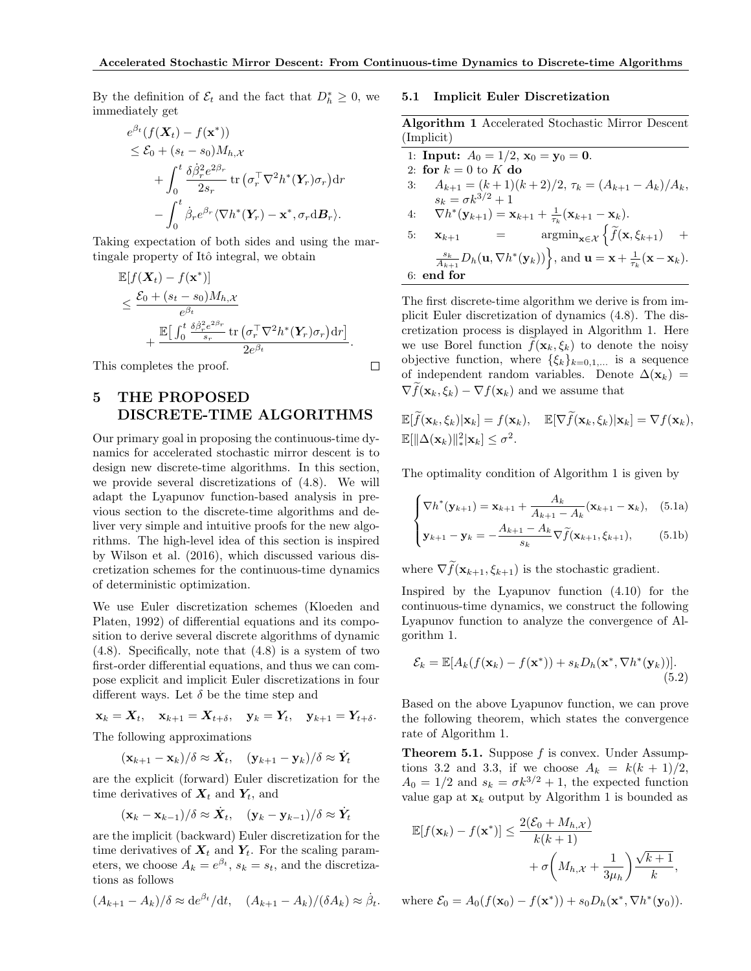By the definition of  $\mathcal{E}_t$  and the fact that  $D_h^* \geq 0$ , we immediately get

$$
e^{\beta_t}(f(\mathbf{X}_t) - f(\mathbf{x}^*))
$$
  
\n
$$
\leq \mathcal{E}_0 + (s_t - s_0)M_{h,\mathcal{X}}
$$
  
\n
$$
+ \int_0^t \frac{\delta \dot{\beta}_r^2 e^{2\beta_r}}{2s_r} \operatorname{tr} (\sigma_r^{\top} \nabla^2 h^*(\mathbf{Y}_r) \sigma_r) dr
$$
  
\n
$$
- \int_0^t \dot{\beta}_r e^{\beta_r} \langle \nabla h^*(\mathbf{Y}_r) - \mathbf{x}^*, \sigma_r \mathrm{d} \mathbf{B}_r \rangle.
$$

Taking expectation of both sides and using the martingale property of Itô integral, we obtain

$$
\mathbb{E}[f(\mathbf{X}_t) - f(\mathbf{x}^*)]
$$
\n
$$
\leq \frac{\mathcal{E}_0 + (s_t - s_0)M_{h,\mathcal{X}}}{e^{\beta_t}} + \frac{\mathbb{E}\big[\int_0^t \frac{\delta \dot{\beta}_r^2 e^{2\beta_r}}{s_r} \text{tr}\left(\sigma_r^\top \nabla^2 h^*(\mathbf{Y}_r) \sigma_r\right) dr\big]}{2e^{\beta_t}}.
$$

This completes the proof.

# 5 THE PROPOSED DISCRETE-TIME ALGORITHMS

Our primary goal in proposing the continuous-time dynamics for accelerated stochastic mirror descent is to design new discrete-time algorithms. In this section, we provide several discretizations of (4.8). We will adapt the Lyapunov function-based analysis in previous section to the discrete-time algorithms and deliver very simple and intuitive proofs for the new algorithms. The high-level idea of this section is inspired by Wilson et al. (2016), which discussed various discretization schemes for the continuous-time dynamics of deterministic optimization.

We use Euler discretization schemes (Kloeden and Platen, 1992) of differential equations and its composition to derive several discrete algorithms of dynamic (4.8). Specifically, note that (4.8) is a system of two first-order differential equations, and thus we can compose explicit and implicit Euler discretizations in four different ways. Let  $\delta$  be the time step and

 $\mathbf{x}_k = \mathbf{X}_t, \quad \mathbf{x}_{k+1} = \mathbf{X}_{t+\delta}, \quad \mathbf{y}_k = \mathbf{Y}_t, \quad \mathbf{y}_{k+1} = \mathbf{Y}_{t+\delta}.$ The following approximations

$$
(\mathbf{x}_{k+1}-\mathbf{x}_k)/\delta \approx \dot{\mathbf{X}}_t, \quad (\mathbf{y}_{k+1}-\mathbf{y}_k)/\delta \approx \dot{\mathbf{Y}}_t
$$

are the explicit (forward) Euler discretization for the time derivatives of  $X_t$  and  $Y_t$ , and

$$
(\mathbf{x}_k - \mathbf{x}_{k-1})/\delta \approx \dot{\mathbf{X}}_t, \quad (\mathbf{y}_k - \mathbf{y}_{k-1})/\delta \approx \dot{\mathbf{Y}}_t
$$

are the implicit (backward) Euler discretization for the time derivatives of  $X_t$  and  $Y_t$ . For the scaling parameters, we choose  $A_k = e^{\beta t}$ ,  $s_k = s_t$ , and the discretizations as follows

$$
(A_{k+1} - A_k)/\delta \approx \mathrm{d}e^{\beta_t}/\mathrm{d}t, \quad (A_{k+1} - A_k)/(\delta A_k) \approx \dot{\beta}_t.
$$

#### 5.1 Implicit Euler Discretization

Algorithm 1 Accelerated Stochastic Mirror Descent (Implicit)

| 1: <b>Input:</b> $A_0 = 1/2$ , $\mathbf{x}_0 = \mathbf{y}_0 = \mathbf{0}$ .                                                                                               |
|---------------------------------------------------------------------------------------------------------------------------------------------------------------------------|
| 2: for $k=0$ to K do                                                                                                                                                      |
| $A_{k+1} = (k+1)(k+2)/2, \tau_k = (A_{k+1} - A_k)/A_k,$<br>3:                                                                                                             |
| $s_k = \sigma k^{3/2} + 1$                                                                                                                                                |
| $\nabla h^*(\mathbf{y}_{k+1}) = \mathbf{x}_{k+1} + \frac{1}{\tau_k}(\mathbf{x}_{k+1} - \mathbf{x}_k).$<br>4:                                                              |
| $\operatorname{argmin}_{\mathbf{x} \in \mathcal{X}} \left\{ \widetilde{f}(\mathbf{x}, \xi_{k+1}) \right\}$<br>$\qquad \qquad = \qquad$<br>$+$<br>5:<br>$\mathbf{x}_{k+1}$ |
| $\frac{s_k}{A_{k+1}}D_h(\mathbf{u}, \nabla h^*(\mathbf{y}_k))\Big\},$ and $\mathbf{u} = \mathbf{x} + \frac{1}{\tau_k}(\mathbf{x} - \mathbf{x}_k).$                        |
| 6: end for                                                                                                                                                                |
|                                                                                                                                                                           |

The first discrete-time algorithm we derive is from implicit Euler discretization of dynamics (4.8). The discretization process is displayed in Algorithm 1. Here we use Borel function  $f(\mathbf{x}_k, \xi_k)$  to denote the noisy objective function, where  $\{\xi_k\}_{k=0,1,...}$  is a sequence of independent random variables. Denote  $\Delta(\mathbf{x}_k)$  =  $\nabla f(\mathbf{x}_k, \xi_k) - \nabla f(\mathbf{x}_k)$  and we assume that

$$
\mathbb{E}[\widetilde{f}(\mathbf{x}_k,\xi_k)|\mathbf{x}_k] = f(\mathbf{x}_k), \quad \mathbb{E}[\nabla \widetilde{f}(\mathbf{x}_k,\xi_k)|\mathbf{x}_k] = \nabla f(\mathbf{x}_k),\n\mathbb{E}[\|\Delta(\mathbf{x}_k)\|_*^2|\mathbf{x}_k] \leq \sigma^2.
$$

The optimality condition of Algorithm 1 is given by

$$
\begin{cases} \nabla h^*(\mathbf{y}_{k+1}) = \mathbf{x}_{k+1} + \frac{A_k}{A_{k+1} - A_k} (\mathbf{x}_{k+1} - \mathbf{x}_k), & (5.1a) \\ \n\mathbf{y}_{k+1} - \mathbf{y}_k = -\frac{A_{k+1} - A_k}{s_k} \nabla \tilde{f}(\mathbf{x}_{k+1}, \xi_{k+1}), & (5.1b) \end{cases}
$$

where  $\nabla \widetilde{f}(\mathbf{x}_{k+1}, \xi_{k+1})$  is the stochastic gradient.

Inspired by the Lyapunov function (4.10) for the continuous-time dynamics, we construct the following Lyapunov function to analyze the convergence of Algorithm 1.

$$
\mathcal{E}_k = \mathbb{E}[A_k(f(\mathbf{x}_k) - f(\mathbf{x}^*)) + s_k D_h(\mathbf{x}^*, \nabla h^*(\mathbf{y}_k))].
$$
\n(5.2)

Based on the above Lyapunov function, we can prove the following theorem, which states the convergence rate of Algorithm 1.

**Theorem 5.1.** Suppose  $f$  is convex. Under Assumptions 3.2 and 3.3, if we choose  $A_k = k(k+1)/2$ ,  $A_0 = 1/2$  and  $s_k = \sigma k^{3/2} + 1$ , the expected function value gap at  $\mathbf{x}_k$  output by Algorithm 1 is bounded as

$$
\mathbb{E}[f(\mathbf{x}_k) - f(\mathbf{x}^*)] \le \frac{2(\mathcal{E}_0 + M_{h,\mathcal{X}})}{k(k+1)} + \sigma \left(M_{h,\mathcal{X}} + \frac{1}{3\mu_h}\right) \frac{\sqrt{k+1}}{k},
$$

where  $\mathcal{E}_0 = A_0(f(\mathbf{x}_0) - f(\mathbf{x}^*)) + s_0D_h(\mathbf{x}^*, \nabla h^*(\mathbf{y}_0)).$ 

 $\Box$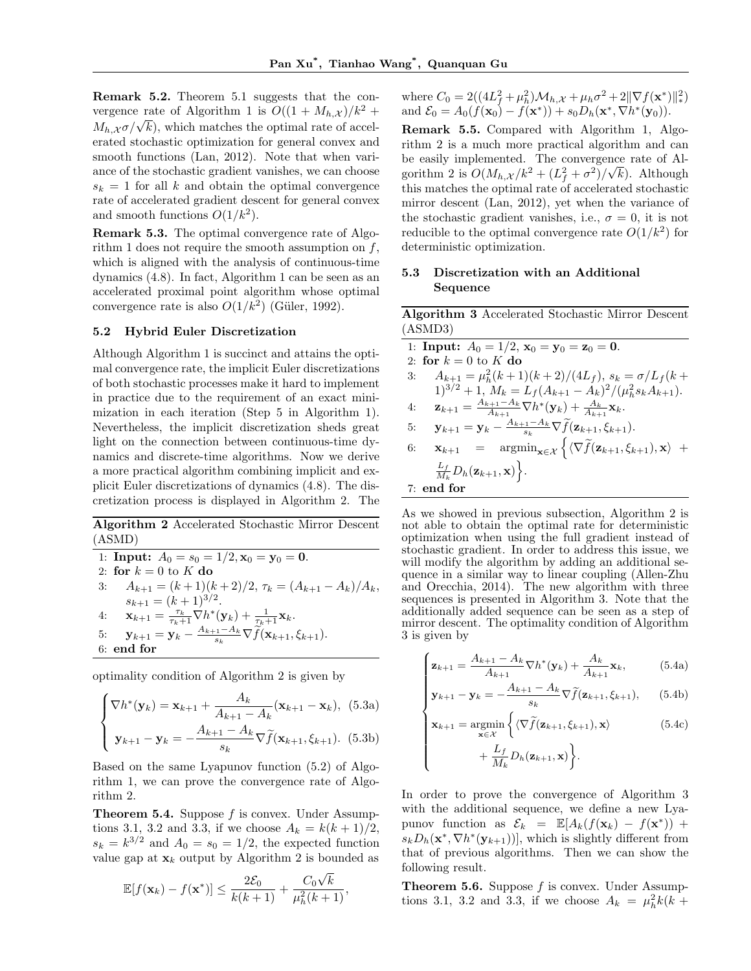Remark 5.2. Theorem 5.1 suggests that the convergence rate of Algorithm 1 is  $O((1 + M_{h,\mathcal{X}})/k^2 +$ vergence rate or Algorithm 1 is  $O((1 + M_h, \chi)/\kappa + M_h, \chi \sigma/\sqrt{k})$ , which matches the optimal rate of accelerated stochastic optimization for general convex and smooth functions (Lan, 2012). Note that when variance of the stochastic gradient vanishes, we can choose  $s_k = 1$  for all k and obtain the optimal convergence rate of accelerated gradient descent for general convex and smooth functions  $O(1/k^2)$ .

Remark 5.3. The optimal convergence rate of Algorithm 1 does not require the smooth assumption on  $f$ , which is aligned with the analysis of continuous-time dynamics (4.8). In fact, Algorithm 1 can be seen as an accelerated proximal point algorithm whose optimal convergence rate is also  $O(1/k^2)$  (Güler, 1992).

#### 5.2 Hybrid Euler Discretization

Although Algorithm 1 is succinct and attains the optimal convergence rate, the implicit Euler discretizations of both stochastic processes make it hard to implement in practice due to the requirement of an exact minimization in each iteration (Step 5 in Algorithm 1). Nevertheless, the implicit discretization sheds great light on the connection between continuous-time dynamics and discrete-time algorithms. Now we derive a more practical algorithm combining implicit and explicit Euler discretizations of dynamics (4.8). The discretization process is displayed in Algorithm 2. The

Algorithm 2 Accelerated Stochastic Mirror Descent (ASMD)

1: Input: 
$$
A_0 = s_0 = 1/2
$$
,  $\mathbf{x}_0 = \mathbf{y}_0 = \mathbf{0}$ .  
\n2: for  $k = 0$  to  $K$  do  
\n3:  $A_{k+1} = (k+1)(k+2)/2$ ,  $\tau_k = (A_{k+1} - A_k)/A_k$ ,  
\n $s_{k+1} = (k+1)^{3/2}$ .  
\n4:  $\mathbf{x}_{k+1} = \frac{\tau_k}{\tau_k+1} \nabla h^*(\mathbf{y}_k) + \frac{1}{\tau_k+1} \mathbf{x}_k$ .  
\n5:  $\mathbf{y}_{k+1} = \mathbf{y}_k - \frac{A_{k+1} - A_k}{s_k} \nabla \tilde{f}(\mathbf{x}_{k+1}, \xi_{k+1})$ .  
\n6: end for

optimality condition of Algorithm 2 is given by

$$
\begin{cases} \nabla h^*(\mathbf{y}_k) = \mathbf{x}_{k+1} + \frac{A_k}{A_{k+1} - A_k} (\mathbf{x}_{k+1} - \mathbf{x}_k), & (5.3a) \\ \n\mathbf{y}_{k+1} - \mathbf{y}_k = -\frac{A_{k+1} - A_k}{s_k} \nabla \tilde{f}(\mathbf{x}_{k+1}, \xi_{k+1}). & (5.3b) \end{cases}
$$

Based on the same Lyapunov function (5.2) of Algorithm 1, we can prove the convergence rate of Algorithm 2.

**Theorem 5.4.** Suppose  $f$  is convex. Under Assumptions 3.1, 3.2 and 3.3, if we choose  $A_k = k(k+1)/2$ ,  $s_k = k^{3/2}$  and  $A_0 = s_0 = 1/2$ , the expected function value gap at  $\mathbf{x}_k$  output by Algorithm 2 is bounded as

$$
\mathbb{E}[f(\mathbf{x}_k) - f(\mathbf{x}^*)] \le \frac{2\mathcal{E}_0}{k(k+1)} + \frac{C_0\sqrt{k}}{\mu_h^2(k+1)},
$$

where  $C_0 = 2((4L_f^2 + \mu_h^2)M_{h,\mathcal{X}} + \mu_h\sigma^2 + 2\|\nabla f(\mathbf{x}^*)\|_*^2)$ and  $\mathcal{E}_0 = A_0(f(\mathbf{x}_0) - f(\mathbf{x}^*)) + s_0D_h(\mathbf{x}^*, \nabla h^*(\mathbf{y}_0)).$ 

Remark 5.5. Compared with Algorithm 1, Algorithm 2 is a much more practical algorithm and can be easily implemented. The convergence rate of Algorithm 2 is  $O(M_{h,\mathcal{X}}/k^2 + (L_f^2 + \sigma^2)/\sqrt{k})$ . Although this matches the optimal rate of accelerated stochastic mirror descent (Lan, 2012), yet when the variance of the stochastic gradient vanishes, i.e.,  $\sigma = 0$ , it is not reducible to the optimal convergence rate  $O(1/k^2)$  for deterministic optimization.

### 5.3 Discretization with an Additional Sequence

Algorithm 3 Accelerated Stochastic Mirror Descent (ASMD3)

| 1: <b>Input:</b> $A_0 = 1/2$ , $\mathbf{x}_0 = \mathbf{y}_0 = \mathbf{z}_0 = \mathbf{0}$ .                                                                                  |
|-----------------------------------------------------------------------------------------------------------------------------------------------------------------------------|
| 2: for $k = 0$ to K do                                                                                                                                                      |
| $A_{k+1} = \mu_h^2 (k+1)(k+2)/(4L_f), s_k = \sigma/L_f(k+1)$<br>3:                                                                                                          |
| $1)^{3/2} + 1$ , $M_k = L_f(A_{k+1} - A_k)^2/(\mu_h^2 s_k A_{k+1}).$                                                                                                        |
| $\mathbf{z}_{k+1} = \frac{A_{k+1} - A_k}{A_{k+1}} \nabla h^*(\mathbf{y}_k) + \frac{A_k}{A_{k+1}} \mathbf{x}_k.$<br>4:                                                       |
| $\mathbf{y}_{k+1} = \mathbf{y}_k - \frac{A_{k+1} - A_k}{s_k} \nabla \widetilde{f}(\mathbf{z}_{k+1}, \xi_{k+1}).$<br>5:                                                      |
| $\mathbf{x}_{k+1} = \operatorname{argmin}_{\mathbf{x} \in \mathcal{X}} \left\{ \langle \nabla \widetilde{f}(\mathbf{z}_{k+1}, \xi_{k+1}), \mathbf{x} \rangle \right.$<br>6: |
| $\frac{L_f}{M_k}D_h(\mathbf{z}_{k+1},\mathbf{x})\Big\}.$                                                                                                                    |
| $7:$ end for                                                                                                                                                                |

As we showed in previous subsection, Algorithm 2 is not able to obtain the optimal rate for deterministic optimization when using the full gradient instead of stochastic gradient. In order to address this issue, we will modify the algorithm by adding an additional sequence in a similar way to linear coupling (Allen-Zhu and Orecchia, 2014). The new algorithm with three sequences is presented in Algorithm 3. Note that the additionally added sequence can be seen as a step of mirror descent. The optimality condition of Algorithm 3 is given by

$$
\left(\mathbf{z}_{k+1} = \frac{A_{k+1} - A_k}{A_{k+1}} \nabla h^*(\mathbf{y}_k) + \frac{A_k}{A_{k+1}} \mathbf{x}_k,\right) \tag{5.4a}
$$

$$
\begin{cases}\n\mathbf{z}_{k+1} = \frac{\mathbf{z}_{k+1} - \mathbf{z}_{k}}{A_{k+1}} \nabla h^*(\mathbf{y}_k) + \frac{\mathbf{z}_{k}}{A_{k+1}} \mathbf{x}_k,\n\end{cases}
$$
\n(5.4a)\n
$$
\mathbf{y}_{k+1} - \mathbf{y}_k = -\frac{A_{k+1} - A_k}{s_k} \nabla \tilde{f}(\mathbf{z}_{k+1}, \xi_{k+1}),
$$
\n(5.4b)

$$
\begin{cases}\n\mathbf{x}_{k+1} = \underset{\mathbf{x} \in \mathcal{X}}{\operatorname{argmin}} \left\{ \langle \nabla \widetilde{f}(\mathbf{z}_{k+1}, \xi_{k+1}), \mathbf{x} \rangle \right. \\
\left. + \frac{L_f}{M_k} D_h(\mathbf{z}_{k+1}, \mathbf{x}) \right\}.\n\end{cases} \tag{5.4c}
$$

In order to prove the convergence of Algorithm 3 with the additional sequence, we define a new Lyapunov function as  $\mathcal{E}_k = \mathbb{E}[A_k(f(\mathbf{x}_k) - f(\mathbf{x}^*)) +$  $s_k D_h(\mathbf{x}^*, \nabla h^*(\mathbf{y}_{k+1}))$ , which is slightly different from that of previous algorithms. Then we can show the following result.

**Theorem 5.6.** Suppose  $f$  is convex. Under Assumptions 3.1, 3.2 and 3.3, if we choose  $A_k = \mu_h^2 k(k + 1)$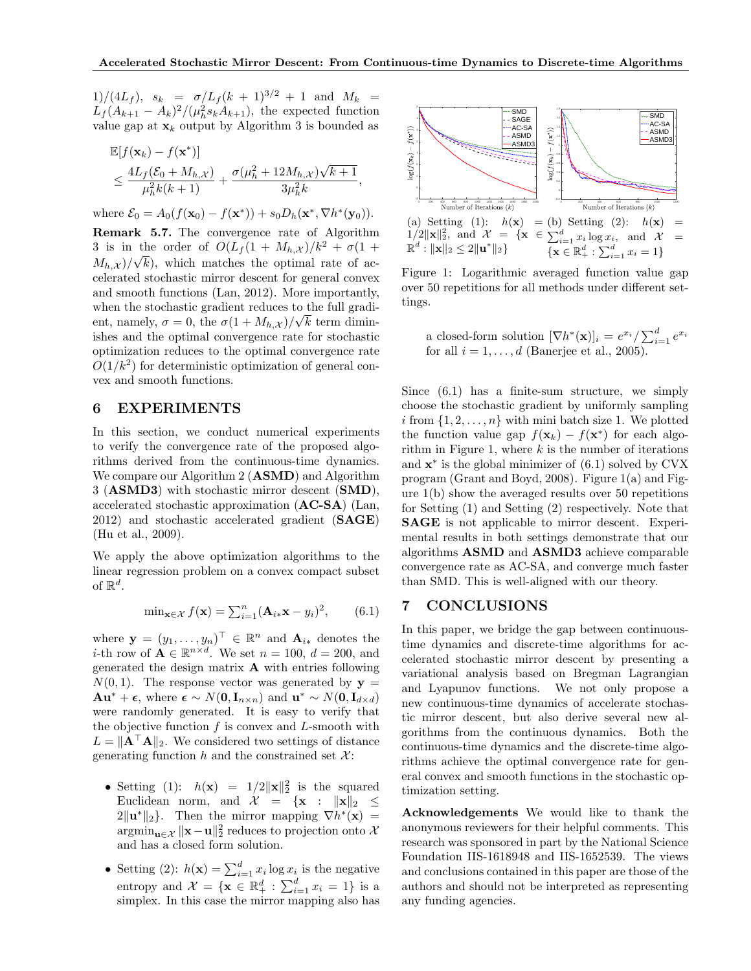1)/(4Lf),  $s_k = \sigma/L_f (k+1)^{3/2} + 1$  and  $M_k =$  $L_f(A_{k+1}-A_k)^2/(\mu_h^2 s_k A_{k+1}),$  the expected function value gap at  $\mathbf{x}_k$  output by Algorithm 3 is bounded as

$$
\mathbb{E}[f(\mathbf{x}_k) - f(\mathbf{x}^*)]
$$
\n
$$
\leq \frac{4L_f(\mathcal{E}_0 + M_{h,\mathcal{X}})}{\mu_h^2 k(k+1)} + \frac{\sigma(\mu_h^2 + 12M_{h,\mathcal{X}})\sqrt{k+1}}{3\mu_h^2 k},
$$

where  $\mathcal{E}_0 = A_0(f(\mathbf{x}_0) - f(\mathbf{x}^*)) + s_0D_h(\mathbf{x}^*, \nabla h^*(\mathbf{y}_0)).$ 

Remark 5.7. The convergence rate of Algorithm 3 is in the order of  $O(L_f(1 + M_{h,\mathcal{X}})/k^2 + \sigma(1 +$  $(M_{h,\mathcal{X}})/\sqrt{k}$ , which matches the optimal rate of accelerated stochastic mirror descent for general convex and smooth functions (Lan, 2012). More importantly, when the stochastic gradient reduces to the full gradient, namely,  $\sigma = 0$ , the  $\sigma(1 + M_{h,\mathcal{X}})/\sqrt{k}$  term diminishes and the optimal convergence rate for stochastic optimization reduces to the optimal convergence rate  $O(1/k^2)$  for deterministic optimization of general convex and smooth functions.

### 6 EXPERIMENTS

 $E(f(x)) = \frac{1}{2}$ 

In this section, we conduct numerical experiments to verify the convergence rate of the proposed algorithms derived from the continuous-time dynamics. We compare our Algorithm 2 (**ASMD**) and Algorithm 3 (ASMD3) with stochastic mirror descent (SMD), accelerated stochastic approximation (AC-SA) (Lan, 2012) and stochastic accelerated gradient (SAGE) (Hu et al., 2009).

We apply the above optimization algorithms to the linear regression problem on a convex compact subset of  $\mathbb{R}^d$ .

$$
\min_{\mathbf{x} \in \mathcal{X}} f(\mathbf{x}) = \sum_{i=1}^{n} (\mathbf{A}_{i \ast} \mathbf{x} - y_i)^2, \qquad (6.1)
$$

where  $\mathbf{y} = (y_1, \dots, y_n)^\top \in \mathbb{R}^n$  and  $\mathbf{A}_{i*}$  denotes the *i*-th row of  $\mathbf{A} \in \mathbb{R}^{n \times d}$ . We set  $n = 100$ ,  $d = 200$ , and generated the design matrix A with entries following  $N(0, 1)$ . The response vector was generated by  $y =$  $\mathbf{A}\mathbf{u}^* + \boldsymbol{\epsilon}$ , where  $\boldsymbol{\epsilon} \sim N(\mathbf{0}, \mathbf{I}_{n \times n})$  and  $\mathbf{u}^* \sim N(\mathbf{0}, \mathbf{I}_{d \times d})$ were randomly generated. It is easy to verify that the objective function  $f$  is convex and  $L$ -smooth with  $L = \|\mathbf{A}^\top \mathbf{A}\|_2$ . We considered two settings of distance generating function h and the constrained set  $\mathcal{X}$ :

- Setting (1):  $h(\mathbf{x}) = 1/2 ||\mathbf{x}||_2^2$  is the squared Euclidean norm, and  $\mathcal{X} = {\mathbf{x} : \| \mathbf{x} \|_2 \leq$  $2\|\mathbf{u}^*\|_2$ . Then the mirror mapping  $\nabla h^*(\mathbf{x}) =$  $\operatorname{argmin}_{\mathbf{u}\in\mathcal{X}} \|\mathbf{x}-\mathbf{u}\|_2^2$  reduces to projection onto  $\mathcal{X}$ and has a closed form solution.
- Setting (2):  $h(\mathbf{x}) = \sum_{i=1}^{d} x_i \log x_i$  is the negative entropy and  $\mathcal{X} = \{ \mathbf{x} \in \mathbb{R}_+^d : \sum_{i=1}^d x_i = 1 \}$  is a simplex. In this case the mirror mapping also has



Figure 1: Logarithmic averaged function value gap over 50 repetitions for all methods under different settings.

a closed-form solution  $[\nabla h^*(\mathbf{x})]_i = e^{x_i} / \sum_{i=1}^d e^{x_i}$ for all  $i = 1, \ldots, d$  (Banerjee et al., 2005).

Since (6.1) has a finite-sum structure, we simply choose the stochastic gradient by uniformly sampling i from  $\{1, 2, \ldots, n\}$  with mini batch size 1. We plotted the function value gap  $f(\mathbf{x}_k) - f(\mathbf{x}^*)$  for each algorithm in Figure 1, where  $k$  is the number of iterations and  $\mathbf{x}^*$  is the global minimizer of  $(6.1)$  solved by CVX program (Grant and Boyd, 2008). Figure 1(a) and Figure 1(b) show the averaged results over 50 repetitions for Setting (1) and Setting (2) respectively. Note that SAGE is not applicable to mirror descent. Experimental results in both settings demonstrate that our algorithms ASMD and ASMD3 achieve comparable convergence rate as AC-SA, and converge much faster than SMD. This is well-aligned with our theory.

# 7 CONCLUSIONS

In this paper, we bridge the gap between continuoustime dynamics and discrete-time algorithms for accelerated stochastic mirror descent by presenting a variational analysis based on Bregman Lagrangian and Lyapunov functions. We not only propose a new continuous-time dynamics of accelerate stochastic mirror descent, but also derive several new algorithms from the continuous dynamics. Both the continuous-time dynamics and the discrete-time algorithms achieve the optimal convergence rate for general convex and smooth functions in the stochastic optimization setting.

Acknowledgements We would like to thank the anonymous reviewers for their helpful comments. This research was sponsored in part by the National Science Foundation IIS-1618948 and IIS-1652539. The views and conclusions contained in this paper are those of the authors and should not be interpreted as representing any funding agencies.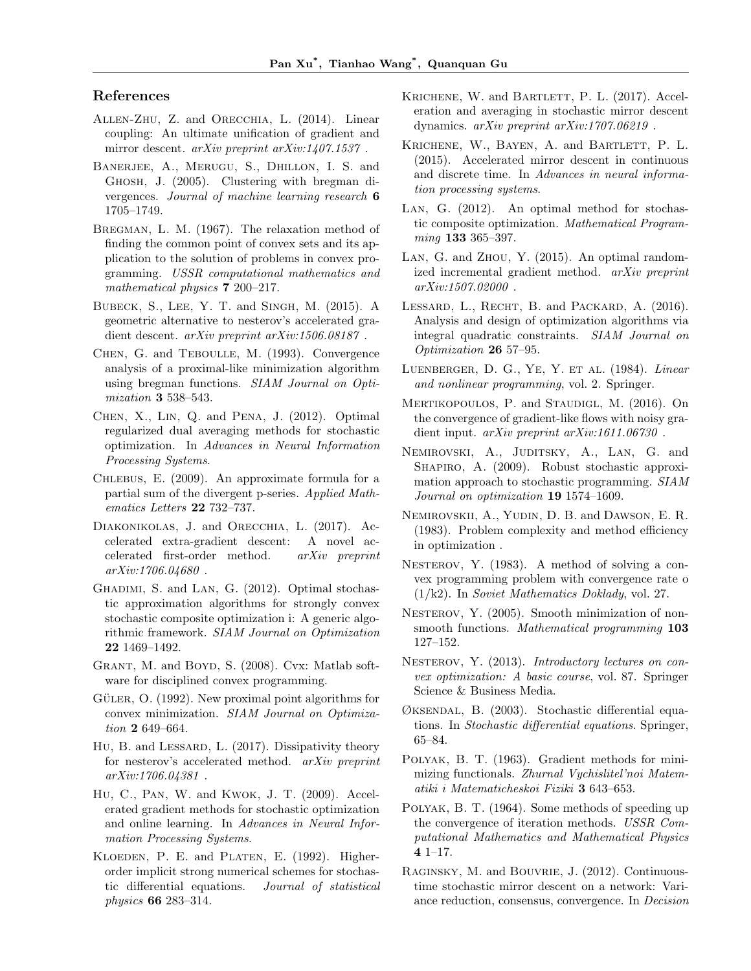# References

- Allen-Zhu, Z. and Orecchia, L. (2014). Linear coupling: An ultimate unification of gradient and mirror descent. arXiv preprint arXiv:1407.1537.
- Banerjee, A., Merugu, S., Dhillon, I. S. and Ghosh, J. (2005). Clustering with bregman divergences. Journal of machine learning research 6 1705–1749.
- Bregman, L. M. (1967). The relaxation method of finding the common point of convex sets and its application to the solution of problems in convex programming. USSR computational mathematics and mathematical physics **7** 200–217.
- Bubeck, S., Lee, Y. T. and Singh, M. (2015). A geometric alternative to nesterov's accelerated gradient descent. arXiv preprint arXiv:1506.08187 .
- Chen, G. and Teboulle, M. (1993). Convergence analysis of a proximal-like minimization algorithm using bregman functions. SIAM Journal on Optimization 3 538–543.
- Chen, X., Lin, Q. and Pena, J. (2012). Optimal regularized dual averaging methods for stochastic optimization. In Advances in Neural Information Processing Systems.
- Chlebus, E. (2009). An approximate formula for a partial sum of the divergent p-series. Applied Mathematics Letters 22 732–737.
- Diakonikolas, J. and Orecchia, L. (2017). Accelerated extra-gradient descent: A novel accelerated first-order method. arXiv preprint arXiv:1706.04680 .
- GHADIMI, S. and LAN, G. (2012). Optimal stochastic approximation algorithms for strongly convex stochastic composite optimization i: A generic algorithmic framework. SIAM Journal on Optimization 22 1469–1492.
- GRANT, M. and BOYD, S. (2008). Cvx: Matlab software for disciplined convex programming.
- GÜLER, O.  $(1992)$ . New proximal point algorithms for convex minimization. SIAM Journal on Optimization 2 649–664.
- Hu, B. and LESSARD, L. (2017). Dissipativity theory for nesterov's accelerated method. arXiv preprint arXiv:1706.04381 .
- Hu, C., Pan, W. and Kwok, J. T. (2009). Accelerated gradient methods for stochastic optimization and online learning. In Advances in Neural Information Processing Systems.
- KLOEDEN, P. E. and PLATEN, E. (1992). Higherorder implicit strong numerical schemes for stochastic differential equations. Journal of statistical physics 66 283–314.
- KRICHENE, W. and BARTLETT, P. L. (2017). Acceleration and averaging in stochastic mirror descent dynamics. arXiv preprint arXiv:1707.06219 .
- KRICHENE, W., BAYEN, A. and BARTLETT, P. L. (2015). Accelerated mirror descent in continuous and discrete time. In Advances in neural information processing systems.
- Lan, G. (2012). An optimal method for stochastic composite optimization. Mathematical Programming **133** 365–397.
- Lan, G. and Zhou, Y. (2015). An optimal randomized incremental gradient method. arXiv preprint arXiv:1507.02000 .
- LESSARD, L., RECHT, B. and PACKARD, A. (2016). Analysis and design of optimization algorithms via integral quadratic constraints. SIAM Journal on Optimization 26 57–95.
- Luenberger, D. G., Ye, Y. et al. (1984). Linear and nonlinear programming, vol. 2. Springer.
- MERTIKOPOULOS, P. and STAUDIGL, M. (2016). On the convergence of gradient-like flows with noisy gradient input. arXiv preprint arXiv:1611.06730 .
- Nemirovski, A., Juditsky, A., Lan, G. and SHAPIRO, A. (2009). Robust stochastic approximation approach to stochastic programming. SIAM Journal on optimization 19 1574-1609.
- Nemirovskii, A., Yudin, D. B. and Dawson, E. R. (1983). Problem complexity and method efficiency in optimization .
- NESTEROV, Y. (1983). A method of solving a convex programming problem with convergence rate o (1/k2). In Soviet Mathematics Doklady, vol. 27.
- NESTEROV, Y. (2005). Smooth minimization of nonsmooth functions. Mathematical programming 103 127–152.
- NESTEROV, Y. (2013). Introductory lectures on convex optimization: A basic course, vol. 87. Springer Science & Business Media.
- Øksendal, B. (2003). Stochastic differential equations. In Stochastic differential equations. Springer, 65–84.
- Polyak, B. T. (1963). Gradient methods for minimizing functionals. Zhurnal Vychislitel'noi Matematiki i Matematicheskoi Fiziki 3 643–653.
- Polyak, B. T. (1964). Some methods of speeding up the convergence of iteration methods. USSR Computational Mathematics and Mathematical Physics 4 1–17.
- Raginsky, M. and Bouvrie, J. (2012). Continuoustime stochastic mirror descent on a network: Variance reduction, consensus, convergence. In Decision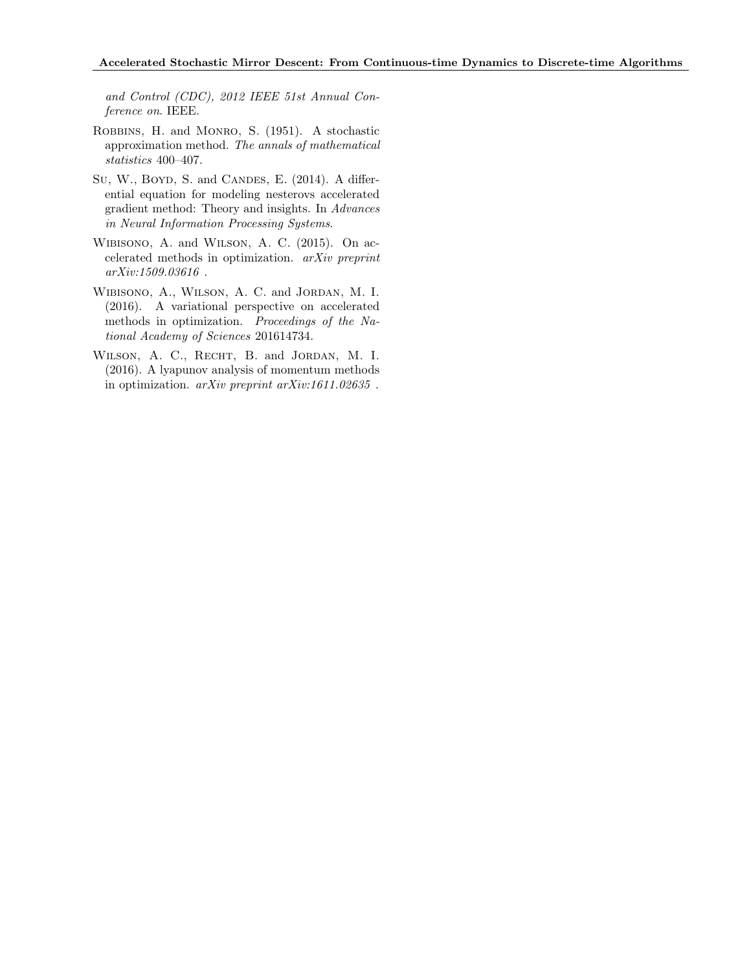and Control (CDC), 2012 IEEE 51st Annual Conference on. IEEE.

- Robbins, H. and Monro, S. (1951). A stochastic approximation method. The annals of mathematical statistics 400–407.
- Su, W., BOYD, S. and CANDES, E. (2014). A differential equation for modeling nesterovs accelerated gradient method: Theory and insights. In Advances in Neural Information Processing Systems.
- Wibisono, A. and Wilson, A. C. (2015). On accelerated methods in optimization. arXiv preprint arXiv:1509.03616 .
- Wibisono, A., Wilson, A. C. and Jordan, M. I. (2016). A variational perspective on accelerated methods in optimization. Proceedings of the National Academy of Sciences 201614734.
- Wilson, A. C., Recht, B. and Jordan, M. I. (2016). A lyapunov analysis of momentum methods in optimization. arXiv preprint arXiv:1611.02635 .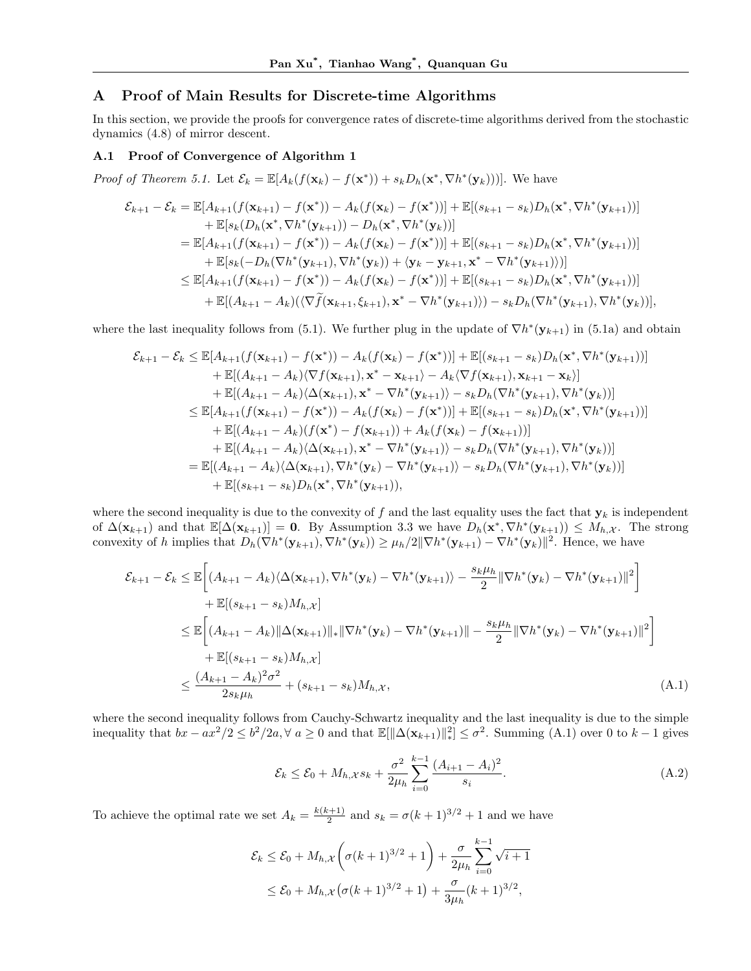## A Proof of Main Results for Discrete-time Algorithms

In this section, we provide the proofs for convergence rates of discrete-time algorithms derived from the stochastic dynamics (4.8) of mirror descent.

#### A.1 Proof of Convergence of Algorithm 1

*Proof of Theorem 5.1.* Let  $\mathcal{E}_k = \mathbb{E}[A_k(f(\mathbf{x}_k) - f(\mathbf{x}^*)) + s_k D_h(\mathbf{x}^*, \nabla h^*(\mathbf{y}_k))]$ . We have

$$
\mathcal{E}_{k+1} - \mathcal{E}_{k} = \mathbb{E}[A_{k+1}(f(\mathbf{x}_{k+1}) - f(\mathbf{x}^{*})) - A_{k}(f(\mathbf{x}_{k}) - f(\mathbf{x}^{*}))] + \mathbb{E}[(s_{k+1} - s_{k})D_{h}(\mathbf{x}^{*}, \nabla h^{*}(\mathbf{y}_{k+1}))]
$$
  
+  $\mathbb{E}[s_{k}(D_{h}(\mathbf{x}^{*}, \nabla h^{*}(\mathbf{y}_{k+1})) - D_{h}(\mathbf{x}^{*}, \nabla h^{*}(\mathbf{y}_{k}))]$   
=  $\mathbb{E}[A_{k+1}(f(\mathbf{x}_{k+1}) - f(\mathbf{x}^{*})) - A_{k}(f(\mathbf{x}_{k}) - f(\mathbf{x}^{*}))] + \mathbb{E}[(s_{k+1} - s_{k})D_{h}(\mathbf{x}^{*}, \nabla h^{*}(\mathbf{y}_{k+1}))]$   
+  $\mathbb{E}[s_{k}(-D_{h}(\nabla h^{*}(\mathbf{y}_{k+1}), \nabla h^{*}(\mathbf{y}_{k})) + \langle \mathbf{y}_{k} - \mathbf{y}_{k+1}, \mathbf{x}^{*} - \nabla h^{*}(\mathbf{y}_{k+1}) \rangle)]$   
 $\leq \mathbb{E}[A_{k+1}(f(\mathbf{x}_{k+1}) - f(\mathbf{x}^{*})) - A_{k}(f(\mathbf{x}_{k}) - f(\mathbf{x}^{*}))] + \mathbb{E}[(s_{k+1} - s_{k})D_{h}(\mathbf{x}^{*}, \nabla h^{*}(\mathbf{y}_{k+1}))]$   
+  $\mathbb{E}[(A_{k+1} - A_{k})(\langle \nabla \tilde{f}(\mathbf{x}_{k+1}, \xi_{k+1}), \mathbf{x}^{*} - \nabla h^{*}(\mathbf{y}_{k+1}) \rangle) - s_{k}D_{h}(\nabla h^{*}(\mathbf{y}_{k+1}), \nabla h^{*}(\mathbf{y}_{k}))],$ 

where the last inequality follows from (5.1). We further plug in the update of  $\nabla h^*(\mathbf{y}_{k+1})$  in (5.1a) and obtain

$$
\mathcal{E}_{k+1} - \mathcal{E}_{k} \leq \mathbb{E}[A_{k+1}(f(\mathbf{x}_{k+1}) - f(\mathbf{x}^{*})) - A_{k}(f(\mathbf{x}_{k}) - f(\mathbf{x}^{*}))] + \mathbb{E}[(s_{k+1} - s_{k})D_{h}(\mathbf{x}^{*}, \nabla h^{*}(\mathbf{y}_{k+1}))]
$$
  
+  $\mathbb{E}[(A_{k+1} - A_{k})\langle \nabla f(\mathbf{x}_{k+1}), \mathbf{x}^{*} - \mathbf{x}_{k+1}\rangle - A_{k}\langle \nabla f(\mathbf{x}_{k+1}), \mathbf{x}_{k+1} - \mathbf{x}_{k})]$   
+  $\mathbb{E}[(A_{k+1} - A_{k})\langle \Delta(\mathbf{x}_{k+1}), \mathbf{x}^{*} - \nabla h^{*}(\mathbf{y}_{k+1})\rangle - s_{k}D_{h}(\nabla h^{*}(\mathbf{y}_{k+1}), \nabla h^{*}(\mathbf{y}_{k}))]$   
 $\leq \mathbb{E}[A_{k+1}(f(\mathbf{x}_{k+1}) - f(\mathbf{x}^{*})) - A_{k}(f(\mathbf{x}_{k}) - f(\mathbf{x}^{*}))] + \mathbb{E}[(s_{k+1} - s_{k})D_{h}(\mathbf{x}^{*}, \nabla h^{*}(\mathbf{y}_{k+1}))]$   
+  $\mathbb{E}[(A_{k+1} - A_{k})(f(\mathbf{x}^{*}) - f(\mathbf{x}_{k+1})) + A_{k}(f(\mathbf{x}_{k}) - f(\mathbf{x}_{k+1}))]$   
+  $\mathbb{E}[(A_{k+1} - A_{k})\langle \Delta(\mathbf{x}_{k+1}), \mathbf{x}^{*} - \nabla h^{*}(\mathbf{y}_{k+1})\rangle - s_{k}D_{h}(\nabla h^{*}(\mathbf{y}_{k+1}), \nabla h^{*}(\mathbf{y}_{k}))]$   
=  $\mathbb{E}[(A_{k+1} - A_{k})\langle \Delta(\mathbf{x}_{k+1}), \nabla h^{*}(\mathbf{y}_{k}) - \nabla h^{*}(\mathbf{y}_{k+1})\rangle - s_{k}D_{h}(\nabla h^{*}(\mathbf{y}_{k+1}), \nabla h^{*}(\mathbf{y}_{k}))]$   
+  $\mathbb{E}[(s$ 

where the second inequality is due to the convexity of f and the last equality uses the fact that  $y_k$  is independent of  $\Delta(\mathbf{x}_{k+1})$  and that  $\mathbb{E}[\Delta(\mathbf{x}_{k+1})] = \mathbf{0}$ . By Assumption 3.3 we have  $D_h(\mathbf{x}^*, \nabla h^*(\mathbf{y}_{k+1})) \leq M_{h,\mathcal{X}}$ . The strong convexity of h implies that  $D_h(\nabla h^*(\mathbf{y}_{k+1}), \nabla h^*(\mathbf{y}_k)) \geq \mu_h/2 \|\nabla h^*(\mathbf{y}_{k+1}) - \nabla h^*(\mathbf{y}_k)\|^2$ . Hence, we have

$$
\mathcal{E}_{k+1} - \mathcal{E}_{k} \leq \mathbb{E}\left[ (A_{k+1} - A_{k}) \langle \Delta(\mathbf{x}_{k+1}), \nabla h^{*}(\mathbf{y}_{k}) - \nabla h^{*}(\mathbf{y}_{k+1}) \rangle - \frac{s_{k} \mu_{h}}{2} \|\nabla h^{*}(\mathbf{y}_{k}) - \nabla h^{*}(\mathbf{y}_{k+1}) \|^{2} \right] \n+ \mathbb{E}[(s_{k+1} - s_{k})M_{h, \mathcal{X}}] \n\leq \mathbb{E}\left[ (A_{k+1} - A_{k}) \|\Delta(\mathbf{x}_{k+1})\|_{*} \|\nabla h^{*}(\mathbf{y}_{k}) - \nabla h^{*}(\mathbf{y}_{k+1})\| - \frac{s_{k} \mu_{h}}{2} \|\nabla h^{*}(\mathbf{y}_{k}) - \nabla h^{*}(\mathbf{y}_{k+1}) \|^{2} \right] \n+ \mathbb{E}[(s_{k+1} - s_{k})M_{h, \mathcal{X}}] \n\leq \frac{(A_{k+1} - A_{k})^{2} \sigma^{2}}{2s_{k} \mu_{h}} + (s_{k+1} - s_{k})M_{h, \mathcal{X}}, \tag{A.1}
$$

where the second inequality follows from Cauchy-Schwartz inequality and the last inequality is due to the simple inequality that  $bx - ax^2/2 \le b^2/2a, \forall a \ge 0$  and that  $\mathbb{E}[\|\Delta(\mathbf{x}_{k+1})\|_*^2] \le \sigma^2$ . Summing  $(A.1)$  over 0 to  $k-1$  gives

$$
\mathcal{E}_k \le \mathcal{E}_0 + M_{h,\mathcal{X}} s_k + \frac{\sigma^2}{2\mu_h} \sum_{i=0}^{k-1} \frac{(A_{i+1} - A_i)^2}{s_i}.
$$
 (A.2)

To achieve the optimal rate we set  $A_k = \frac{k(k+1)}{2}$  $\frac{k+1}{2}$  and  $s_k = \sigma(k+1)^{3/2} + 1$  and we have

$$
\mathcal{E}_k \le \mathcal{E}_0 + M_{h,\mathcal{X}} \left( \sigma (k+1)^{3/2} + 1 \right) + \frac{\sigma}{2\mu_h} \sum_{i=0}^{k-1} \sqrt{i+1}
$$
  

$$
\le \mathcal{E}_0 + M_{h,\mathcal{X}} \left( \sigma (k+1)^{3/2} + 1 \right) + \frac{\sigma}{3\mu_h} (k+1)^{3/2},
$$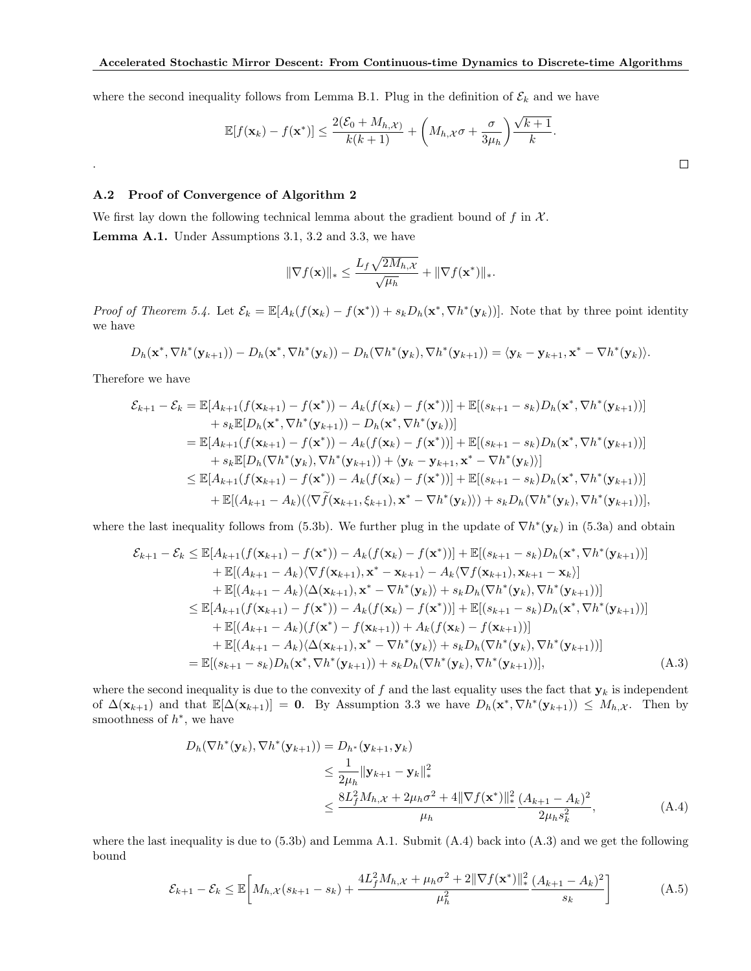where the second inequality follows from Lemma B.1. Plug in the definition of  $\mathcal{E}_k$  and we have

$$
\mathbb{E}[f(\mathbf{x}_k) - f(\mathbf{x}^*)] \le \frac{2(\mathcal{E}_0 + M_{h,\mathcal{X}})}{k(k+1)} + \left(M_{h,\mathcal{X}}\sigma + \frac{\sigma}{3\mu_h}\right)\frac{\sqrt{k+1}}{k}.
$$

## A.2 Proof of Convergence of Algorithm 2

We first lay down the following technical lemma about the gradient bound of f in  $\mathcal{X}$ . Lemma A.1. Under Assumptions 3.1, 3.2 and 3.3, we have

$$
\|\nabla f(\mathbf{x})\|_{*} \leq \frac{L_f \sqrt{2M_{h,\mathcal{X}}}}{\sqrt{\mu_h}} + \|\nabla f(\mathbf{x}^*)\|_{*}.
$$

Proof of Theorem 5.4. Let  $\mathcal{E}_k = \mathbb{E}[A_k(f(\mathbf{x}_k) - f(\mathbf{x}^*)) + s_k D_h(\mathbf{x}^*, \nabla h^*(\mathbf{y}_k))]$ . Note that by three point identity we have

$$
D_h(\mathbf{x}^*, \nabla h^*(\mathbf{y}_{k+1})) - D_h(\mathbf{x}^*, \nabla h^*(\mathbf{y}_k)) - D_h(\nabla h^*(\mathbf{y}_k), \nabla h^*(\mathbf{y}_{k+1})) = \langle \mathbf{y}_k - \mathbf{y}_{k+1}, \mathbf{x}^* - \nabla h^*(\mathbf{y}_k) \rangle.
$$

Therefore we have

.

$$
\mathcal{E}_{k+1} - \mathcal{E}_{k} = \mathbb{E}[A_{k+1}(f(\mathbf{x}_{k+1}) - f(\mathbf{x}^{*})) - A_{k}(f(\mathbf{x}_{k}) - f(\mathbf{x}^{*}))] + \mathbb{E}[(s_{k+1} - s_{k})D_{h}(\mathbf{x}^{*}, \nabla h^{*}(\mathbf{y}_{k+1}))]
$$
  
+  $s_{k}\mathbb{E}[D_{h}(\mathbf{x}^{*}, \nabla h^{*}(\mathbf{y}_{k+1})) - D_{h}(\mathbf{x}^{*}, \nabla h^{*}(\mathbf{y}_{k}))]$   
=  $\mathbb{E}[A_{k+1}(f(\mathbf{x}_{k+1}) - f(\mathbf{x}^{*})) - A_{k}(f(\mathbf{x}_{k}) - f(\mathbf{x}^{*}))] + \mathbb{E}[(s_{k+1} - s_{k})D_{h}(\mathbf{x}^{*}, \nabla h^{*}(\mathbf{y}_{k+1}))]$   
+  $s_{k}\mathbb{E}[D_{h}(\nabla h^{*}(\mathbf{y}_{k}), \nabla h^{*}(\mathbf{y}_{k+1})) + \langle \mathbf{y}_{k} - \mathbf{y}_{k+1}, \mathbf{x}^{*} - \nabla h^{*}(\mathbf{y}_{k}) \rangle]$   
 $\leq \mathbb{E}[A_{k+1}(f(\mathbf{x}_{k+1}) - f(\mathbf{x}^{*})) - A_{k}(f(\mathbf{x}_{k}) - f(\mathbf{x}^{*}))] + \mathbb{E}[(s_{k+1} - s_{k})D_{h}(\mathbf{x}^{*}, \nabla h^{*}(\mathbf{y}_{k+1}))]$   
+  $\mathbb{E}[(A_{k+1} - A_{k})(\langle \nabla \tilde{f}(\mathbf{x}_{k+1}, \xi_{k+1}), \mathbf{x}^{*} - \nabla h^{*}(\mathbf{y}_{k}) \rangle) + s_{k}D_{h}(\nabla h^{*}(\mathbf{y}_{k}), \nabla h^{*}(\mathbf{y}_{k+1}))],$ 

where the last inequality follows from (5.3b). We further plug in the update of  $\nabla h^*(y_k)$  in (5.3a) and obtain

$$
\mathcal{E}_{k+1} - \mathcal{E}_{k} \leq \mathbb{E}[A_{k+1}(f(\mathbf{x}_{k+1}) - f(\mathbf{x}^{*})) - A_{k}(f(\mathbf{x}_{k}) - f(\mathbf{x}^{*}))] + \mathbb{E}[(s_{k+1} - s_{k})D_{h}(\mathbf{x}^{*}, \nabla h^{*}(\mathbf{y}_{k+1}))]
$$
  
+  $\mathbb{E}[(A_{k+1} - A_{k})\langle \nabla f(\mathbf{x}_{k+1}), \mathbf{x}^{*} - \mathbf{x}_{k+1} \rangle - A_{k}\langle \nabla f(\mathbf{x}_{k+1}), \mathbf{x}_{k+1} - \mathbf{x}_{k})]$   
+  $\mathbb{E}[(A_{k+1} - A_{k})\langle \Delta(\mathbf{x}_{k+1}), \mathbf{x}^{*} - \nabla h^{*}(\mathbf{y}_{k}) \rangle + s_{k}D_{h}(\nabla h^{*}(\mathbf{y}_{k}), \nabla h^{*}(\mathbf{y}_{k+1}))]$   
 $\leq \mathbb{E}[A_{k+1}(f(\mathbf{x}_{k+1}) - f(\mathbf{x}^{*})) - A_{k}(f(\mathbf{x}_{k}) - f(\mathbf{x}^{*}))] + \mathbb{E}[(s_{k+1} - s_{k})D_{h}(\mathbf{x}^{*}, \nabla h^{*}(\mathbf{y}_{k+1}))]$   
+  $\mathbb{E}[(A_{k+1} - A_{k})(f(\mathbf{x}^{*}) - f(\mathbf{x}_{k+1})) + A_{k}(f(\mathbf{x}_{k}) - f(\mathbf{x}_{k+1}))]$   
+  $\mathbb{E}[(A_{k+1} - A_{k})\langle \Delta(\mathbf{x}_{k+1}), \mathbf{x}^{*} - \nabla h^{*}(\mathbf{y}_{k}) \rangle + s_{k}D_{h}(\nabla h^{*}(\mathbf{y}_{k}), \nabla h^{*}(\mathbf{y}_{k+1}))]$   
=  $\mathbb{E}[(s_{k+1} - s_{k})D_{h}(\mathbf{x}^{*}, \nabla h^{*}(\mathbf{y}_{k+1})) + s_{k}D_{h}(\nabla h^{*}(\mathbf{y}_{k}), \nabla h^{*}(\mathbf{y}_{k+1}))],$  (A.3)

where the second inequality is due to the convexity of f and the last equality uses the fact that  $y_k$  is independent of  $\Delta(\mathbf{x}_{k+1})$  and that  $\mathbb{E}[\Delta(\mathbf{x}_{k+1})] = 0$ . By Assumption 3.3 we have  $D_h(\mathbf{x}^*, \nabla h^*(\mathbf{y}_{k+1})) \leq M_{h,\mathcal{X}}$ . Then by smoothness of  $h^*$ , we have

$$
D_h(\nabla h^*(\mathbf{y}_k), \nabla h^*(\mathbf{y}_{k+1})) = D_{h^*}(\mathbf{y}_{k+1}, \mathbf{y}_k)
$$
  
\n
$$
\leq \frac{1}{2\mu_h} ||\mathbf{y}_{k+1} - \mathbf{y}_k||_*^2
$$
  
\n
$$
\leq \frac{8L_f^2 M_{h, \mathcal{X}} + 2\mu_h \sigma^2 + 4||\nabla f(\mathbf{x}^*)||_*^2}{\mu_h} \frac{(A_{k+1} - A_k)^2}{2\mu_h s_k^2},
$$
\n(A.4)

where the last inequality is due to  $(5.3b)$  and Lemma A.1. Submit  $(A.4)$  back into  $(A.3)$  and we get the following bound

$$
\mathcal{E}_{k+1} - \mathcal{E}_k \le \mathbb{E}\bigg[M_{h,\mathcal{X}}(s_{k+1} - s_k) + \frac{4L_f^2 M_{h,\mathcal{X}} + \mu_h \sigma^2 + 2\|\nabla f(\mathbf{x}^*)\|_{*}^2}{\mu_h^2} \frac{(A_{k+1} - A_k)^2}{s_k}\bigg] \tag{A.5}
$$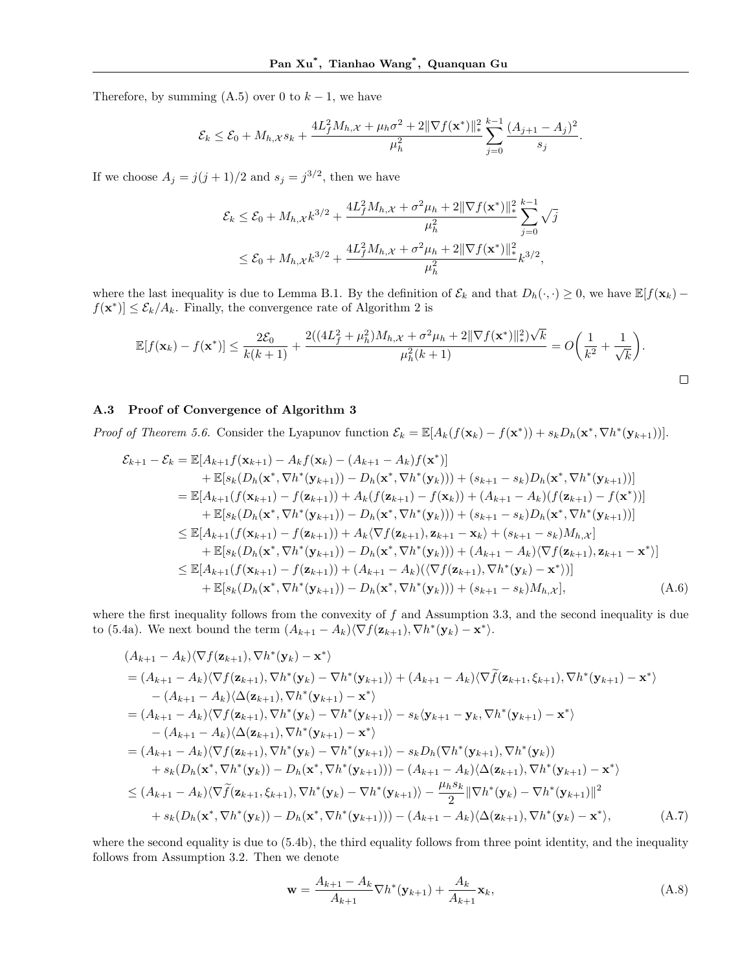Therefore, by summing  $(A.5)$  over 0 to  $k-1$ , we have

$$
\mathcal{E}_k \leq \mathcal{E}_0 + M_{h,\mathcal{X}} s_k + \frac{4L_f^2 M_{h,\mathcal{X}} + \mu_h \sigma^2 + 2\|\nabla f(\mathbf{x}^*)\|^2_{*}}{\mu_h^2} \sum_{j=0}^{k-1} \frac{(A_{j+1} - A_j)^2}{s_j}.
$$

If we choose  $A_j = j(j+1)/2$  and  $s_j = j^{3/2}$ , then we have

$$
\mathcal{E}_k \le \mathcal{E}_0 + M_{h,\mathcal{X}} k^{3/2} + \frac{4L_f^2 M_{h,\mathcal{X}} + \sigma^2 \mu_h + 2\|\nabla f(\mathbf{x}^*)\|_{*}^2}{\mu_h^2} \sum_{j=0}^{k-1} \sqrt{j}
$$
  

$$
\le \mathcal{E}_0 + M_{h,\mathcal{X}} k^{3/2} + \frac{4L_f^2 M_{h,\mathcal{X}} + \sigma^2 \mu_h + 2\|\nabla f(\mathbf{x}^*)\|_{*}^2}{\mu_h^2} k^{3/2},
$$

where the last inequality is due to Lemma B.1. By the definition of  $\mathcal{E}_k$  and that  $D_h(\cdot, \cdot) \geq 0$ , we have  $\mathbb{E}[f(\mathbf{x}_k)$  $f(\mathbf{x}^*)$   $\leq \mathcal{E}_k/A_k$ . Finally, the convergence rate of Algorithm 2 is

$$
\mathbb{E}[f(\mathbf{x}_k) - f(\mathbf{x}^*)] \le \frac{2\mathcal{E}_0}{k(k+1)} + \frac{2((4L_f^2 + \mu_h^2)M_{h,\mathcal{X}} + \sigma^2\mu_h + 2\|\nabla f(\mathbf{x}^*)\|_{*}^2)\sqrt{k}}{\mu_h^2(k+1)} = O\bigg(\frac{1}{k^2} + \frac{1}{\sqrt{k}}\bigg).
$$

 $\Box$ 

#### A.3 Proof of Convergence of Algorithm 3

Proof of Theorem 5.6. Consider the Lyapunov function  $\mathcal{E}_k = \mathbb{E}[A_k(f(\mathbf{x}_k) - f(\mathbf{x}^*)) + s_k D_h(\mathbf{x}^*, \nabla h^*(\mathbf{y}_{k+1}))].$ 

$$
\mathcal{E}_{k+1} - \mathcal{E}_{k} = \mathbb{E}[A_{k+1}f(\mathbf{x}_{k+1}) - A_{k}f(\mathbf{x}_{k}) - (A_{k+1} - A_{k})f(\mathbf{x}^{*})] \n+ \mathbb{E}[s_{k}(D_{h}(\mathbf{x}^{*}, \nabla h^{*}(\mathbf{y}_{k+1})) - D_{h}(\mathbf{x}^{*}, \nabla h^{*}(\mathbf{y}_{k}))) + (s_{k+1} - s_{k})D_{h}(\mathbf{x}^{*}, \nabla h^{*}(\mathbf{y}_{k+1}))] \n= \mathbb{E}[A_{k+1}(f(\mathbf{x}_{k+1}) - f(\mathbf{z}_{k+1})) + A_{k}(f(\mathbf{z}_{k+1}) - f(\mathbf{x}_{k})) + (A_{k+1} - A_{k})(f(\mathbf{z}_{k+1}) - f(\mathbf{x}^{*}))] \n+ \mathbb{E}[s_{k}(D_{h}(\mathbf{x}^{*}, \nabla h^{*}(\mathbf{y}_{k+1})) - D_{h}(\mathbf{x}^{*}, \nabla h^{*}(\mathbf{y}_{k}))) + (s_{k+1} - s_{k})D_{h}(\mathbf{x}^{*}, \nabla h^{*}(\mathbf{y}_{k+1}))] \n\leq \mathbb{E}[A_{k+1}(f(\mathbf{x}_{k+1}) - f(\mathbf{z}_{k+1})) + A_{k}(\nabla f(\mathbf{z}_{k+1}), \mathbf{z}_{k+1} - \mathbf{x}_{k}) + (s_{k+1} - s_{k})M_{h}x] \n+ \mathbb{E}[s_{k}(D_{h}(\mathbf{x}^{*}, \nabla h^{*}(\mathbf{y}_{k+1})) - D_{h}(\mathbf{x}^{*}, \nabla h^{*}(\mathbf{y}_{k}))) + (A_{k+1} - A_{k})(\nabla f(\mathbf{z}_{k+1}), \mathbf{z}_{k+1} - \mathbf{x}^{*})] \n\leq \mathbb{E}[A_{k+1}(f(\mathbf{x}_{k+1}) - f(\mathbf{z}_{k+1})) + (A_{k+1} - A_{k})(\nabla f(\mathbf{z}_{k+1}), \nabla h^{*}(\mathbf{y}_{k}) - \mathbf{x}^{*})] \n+ \mathbb{E}[s_{k}(D_{h}(\mathbf{x}^{*},
$$

where the first inequality follows from the convexity of  $f$  and Assumption 3.3, and the second inequality is due to (5.4a). We next bound the term  $(A_{k+1} - A_k)\langle \nabla f(\mathbf{z}_{k+1}), \nabla h^*(\mathbf{y}_k) - \mathbf{x}^* \rangle$ .

$$
(A_{k+1} - A_k)\langle \nabla f(\mathbf{z}_{k+1}), \nabla h^*(\mathbf{y}_k) - \mathbf{x}^* \rangle
$$
  
\n=  $(A_{k+1} - A_k)\langle \nabla f(\mathbf{z}_{k+1}), \nabla h^*(\mathbf{y}_k) - \nabla h^*(\mathbf{y}_{k+1}) \rangle + (A_{k+1} - A_k)\langle \nabla \tilde{f}(\mathbf{z}_{k+1}, \xi_{k+1}), \nabla h^*(\mathbf{y}_{k+1}) - \mathbf{x}^* \rangle$   
\n $- (A_{k+1} - A_k)\langle \Delta(\mathbf{z}_{k+1}), \nabla h^*(\mathbf{y}_{k+1}) - \mathbf{x}^* \rangle$   
\n=  $(A_{k+1} - A_k)\langle \nabla f(\mathbf{z}_{k+1}), \nabla h^*(\mathbf{y}_k) - \nabla h^*(\mathbf{y}_{k+1}) \rangle - s_k \langle \mathbf{y}_{k+1} - \mathbf{y}_k, \nabla h^*(\mathbf{y}_{k+1}) - \mathbf{x}^* \rangle$   
\n $- (A_{k+1} - A_k)\langle \Delta(\mathbf{z}_{k+1}), \nabla h^*(\mathbf{y}_{k+1}) - \mathbf{x}^* \rangle$   
\n=  $(A_{k+1} - A_k)\langle \nabla f(\mathbf{z}_{k+1}), \nabla h^*(\mathbf{y}_k) - \nabla h^*(\mathbf{y}_{k+1}) \rangle - s_k D_h(\nabla h^*(\mathbf{y}_{k+1}), \nabla h^*(\mathbf{y}_k))$   
\n $+ s_k(D_h(\mathbf{x}^*, \nabla h^*(\mathbf{y}_k)) - D_h(\mathbf{x}^*, \nabla h^*(\mathbf{y}_{k+1})) - (A_{k+1} - A_k)\langle \Delta(\mathbf{z}_{k+1}), \nabla h^*(\mathbf{y}_{k+1}) - \mathbf{x}^* \rangle$   
\n $\leq (A_{k+1} - A_k)\langle \nabla \tilde{f}(\mathbf{z}_{k+1}, \xi_{k+1}), \nabla h^*(\mathbf{y}_k) - \nabla h^*(\mathbf{y}_{k+1}) \rangle - \frac{\mu_h s_k}{2} \|\nabla h^*(\math$ 

where the second equality is due to (5.4b), the third equality follows from three point identity, and the inequality follows from Assumption 3.2. Then we denote

$$
\mathbf{w} = \frac{A_{k+1} - A_k}{A_{k+1}} \nabla h^*(\mathbf{y}_{k+1}) + \frac{A_k}{A_{k+1}} \mathbf{x}_k,
$$
\n(A.8)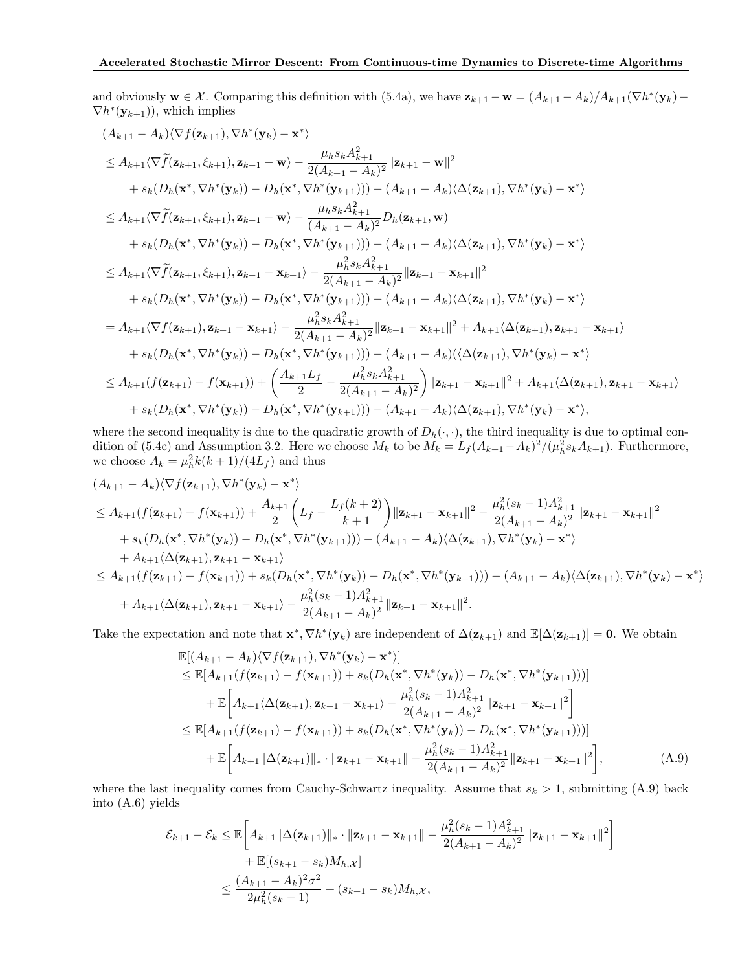and obviously  $\mathbf{w} \in \mathcal{X}$ . Comparing this definition with (5.4a), we have  $\mathbf{z}_{k+1} - \mathbf{w} = (A_{k+1} - A_k)/A_{k+1}(\nabla h^*(\mathbf{y}_k) - A_k)$  $\nabla h^*(\mathbf{y}_{k+1})$ , which implies

$$
(A_{k+1} - A_k)\langle \nabla f(\mathbf{z}_{k+1}), \nabla h^*(\mathbf{y}_k) - \mathbf{x}^*\rangle
$$
  
\n
$$
\leq A_{k+1}\langle \nabla \tilde{f}(\mathbf{z}_{k+1}, \xi_{k+1}), \mathbf{z}_{k+1} - \mathbf{w}\rangle - \frac{\mu_h s_k A_{k+1}^2}{2(A_{k+1} - A_k)^2} ||\mathbf{z}_{k+1} - \mathbf{w}||^2
$$
  
\n
$$
+ s_k(D_h(\mathbf{x}^*, \nabla h^*(\mathbf{y}_k))) - D_h(\mathbf{x}^*, \nabla h^*(\mathbf{y}_{k+1}))) - (A_{k+1} - A_k)\langle \Delta(\mathbf{z}_{k+1}), \nabla h^*(\mathbf{y}_k) - \mathbf{x}^*\rangle
$$
  
\n
$$
\leq A_{k+1}\langle \nabla \tilde{f}(\mathbf{z}_{k+1}, \xi_{k+1}), \mathbf{z}_{k+1} - \mathbf{w}\rangle - \frac{\mu_h s_k A_{k+1}^2}{(A_{k+1} - A_k)^2} D_h(\mathbf{z}_{k+1}, \mathbf{w})
$$
  
\n
$$
+ s_k(D_h(\mathbf{x}^*, \nabla h^*(\mathbf{y}_k))) - D_h(\mathbf{x}^*, \nabla h^*(\mathbf{y}_{k+1}))) - (A_{k+1} - A_k)\langle \Delta(\mathbf{z}_{k+1}), \nabla h^*(\mathbf{y}_k) - \mathbf{x}^*\rangle
$$
  
\n
$$
\leq A_{k+1}\langle \nabla \tilde{f}(\mathbf{z}_{k+1}, \xi_{k+1}), \mathbf{z}_{k+1} - \mathbf{x}_{k+1}\rangle - \frac{\mu_h^2 s_k A_{k+1}^2}{2(A_{k+1} - A_k)^2} ||\mathbf{z}_{k+1} - \mathbf{x}_{k+1}||^2
$$
  
\n
$$
+ s_k(D_h(\mathbf{x}^*, \nabla h^*(\mathbf{y}_k))) - D_h(\mathbf{x}^*, \nabla h^*(\mathbf{y}_{k+1}))) - (A_{k+1} - A_k)\langle \Delta(\mathbf{z}_{k+1}), \nabla h^*(\mathbf{y}_k) - \mathbf{x}^*\rangle
$$
  
\

where the second inequality is due to the quadratic growth of  $D_h(\cdot, \cdot)$ , the third inequality is due to optimal condition of (5.4c) and Assumption 3.2. Here we choose  $M_k$  to be  $M_k = L_f (A_{k+1} - A_k)^2 / (\mu_h^2 s_k A_{k+1})$ . Furthermore, we choose  $A_k = \mu_h^2 k(k+1)/(4L_f)$  and thus

$$
(A_{k+1} - A_k)\langle \nabla f(\mathbf{z}_{k+1}), \nabla h^*(\mathbf{y}_k) - \mathbf{x}^* \rangle
$$
  
\n
$$
\leq A_{k+1}(f(\mathbf{z}_{k+1}) - f(\mathbf{x}_{k+1})) + \frac{A_{k+1}}{2} \left( L_f - \frac{L_f(k+2)}{k+1} \right) ||\mathbf{z}_{k+1} - \mathbf{x}_{k+1}||^2 - \frac{\mu_h^2(s_k - 1)A_{k+1}^2}{2(A_{k+1} - A_k)^2} ||\mathbf{z}_{k+1} - \mathbf{x}_{k+1}||^2
$$
  
\n
$$
+ s_k(D_h(\mathbf{x}^*, \nabla h^*(\mathbf{y}_k)) - D_h(\mathbf{x}^*, \nabla h^*(\mathbf{y}_{k+1}))) - (A_{k+1} - A_k)\langle \Delta(\mathbf{z}_{k+1}), \nabla h^*(\mathbf{y}_k) - \mathbf{x}^* \rangle
$$
  
\n
$$
+ A_{k+1}\langle \Delta(\mathbf{z}_{k+1}), \mathbf{z}_{k+1} - \mathbf{x}_{k+1} \rangle
$$
  
\n
$$
\leq A_{k+1}(f(\mathbf{z}_{k+1}) - f(\mathbf{x}_{k+1})) + s_k(D_h(\mathbf{x}^*, \nabla h^*(\mathbf{y}_k)) - D_h(\mathbf{x}^*, \nabla h^*(\mathbf{y}_{k+1}))) - (A_{k+1} - A_k)\langle \Delta(\mathbf{z}_{k+1}), \nabla h^*(\mathbf{y}_k) - \mathbf{x}^* \rangle
$$
  
\n
$$
+ A_{k+1}\langle \Delta(\mathbf{z}_{k+1}), \mathbf{z}_{k+1} - \mathbf{x}_{k+1} \rangle - \frac{\mu_h^2(s_k - 1)A_{k+1}^2}{2(A_{k+1} - A_k)^2} ||\mathbf{z}_{k+1} - \mathbf{x}_{k+1}||^2.
$$

Take the expectation and note that  $\mathbf{x}^*, \nabla h^*(\mathbf{y}_k)$  are independent of  $\Delta(\mathbf{z}_{k+1})$  and  $\mathbb{E}[\Delta(\mathbf{z}_{k+1})] = \mathbf{0}$ . We obtain

$$
\mathbb{E}[(A_{k+1} - A_k)\langle \nabla f(\mathbf{z}_{k+1}), \nabla h^*(\mathbf{y}_k) - \mathbf{x}^*\rangle] \n\leq \mathbb{E}[A_{k+1}(f(\mathbf{z}_{k+1}) - f(\mathbf{x}_{k+1})) + s_k(D_h(\mathbf{x}^*, \nabla h^*(\mathbf{y}_k)) - D_h(\mathbf{x}^*, \nabla h^*(\mathbf{y}_{k+1})))] \n+ \mathbb{E}\bigg[A_{k+1}\langle \Delta(\mathbf{z}_{k+1}), \mathbf{z}_{k+1} - \mathbf{x}_{k+1}\rangle - \frac{\mu_h^2(s_k - 1)A_{k+1}^2}{2(A_{k+1} - A_k)^2} ||\mathbf{z}_{k+1} - \mathbf{x}_{k+1}||^2\bigg] \n\leq \mathbb{E}[A_{k+1}(f(\mathbf{z}_{k+1}) - f(\mathbf{x}_{k+1})) + s_k(D_h(\mathbf{x}^*, \nabla h^*(\mathbf{y}_k)) - D_h(\mathbf{x}^*, \nabla h^*(\mathbf{y}_{k+1})))] \n+ \mathbb{E}\bigg[A_{k+1}||\Delta(\mathbf{z}_{k+1})||_* \cdot ||\mathbf{z}_{k+1} - \mathbf{x}_{k+1}|| - \frac{\mu_h^2(s_k - 1)A_{k+1}^2}{2(A_{k+1} - A_k)^2} ||\mathbf{z}_{k+1} - \mathbf{x}_{k+1}||^2\bigg],
$$
\n(A.9)

where the last inequality comes from Cauchy-Schwartz inequality. Assume that  $s_k > 1$ , submitting (A.9) back into (A.6) yields

$$
\mathcal{E}_{k+1} - \mathcal{E}_k \le \mathbb{E}\bigg[A_{k+1}\|\Delta(\mathbf{z}_{k+1})\|_* \cdot \|\mathbf{z}_{k+1} - \mathbf{x}_{k+1}\| - \frac{\mu_h^2(s_k - 1)A_{k+1}^2}{2(A_{k+1} - A_k)^2}\|\mathbf{z}_{k+1} - \mathbf{x}_{k+1}\|^2\bigg] + \mathbb{E}[(s_{k+1} - s_k)M_{h,\mathcal{X}}] \le \frac{(A_{k+1} - A_k)^2 \sigma^2}{2\mu_h^2(s_k - 1)} + (s_{k+1} - s_k)M_{h,\mathcal{X}},
$$